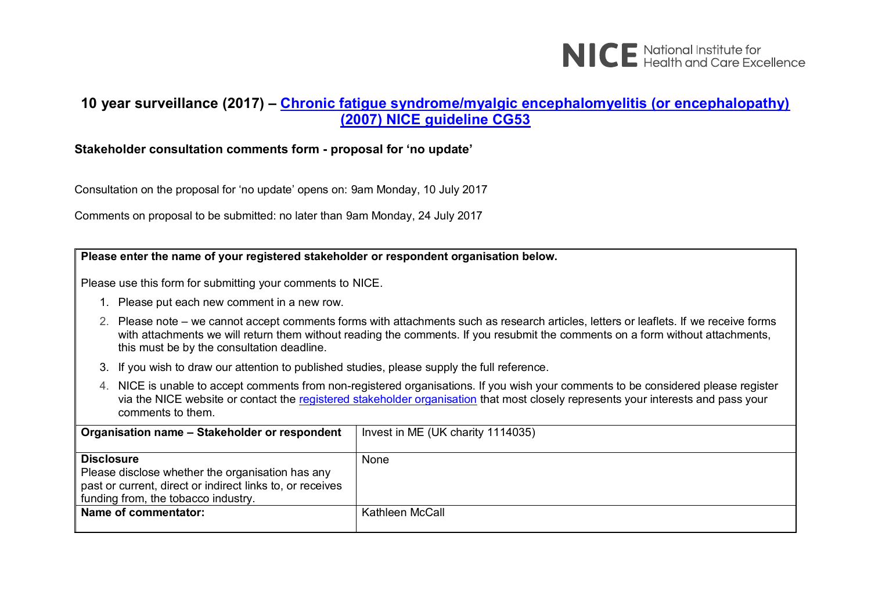

#### **10 year surveillance (2017) – [Chronic fatigue syndrome/myalgic encephalomyelitis \(or encephalopathy\)](https://www.nice.org.uk/guidance/cg53)  [\(2007\) NICE guideline CG53](https://www.nice.org.uk/guidance/cg53)**

#### **Stakeholder consultation comments form - proposal for 'no update'**

Consultation on the proposal for 'no update' opens on: 9am Monday, 10 July 2017

Comments on proposal to be submitted: no later than 9am Monday, 24 July 2017

#### **Please enter the name of your registered stakeholder or respondent organisation below.**

Please use this form for submitting your comments to NICE.

- 1. Please put each new comment in a new row.
- 2. Please note we cannot accept comments forms with attachments such as research articles, letters or leaflets. If we receive forms with attachments we will return them without reading the comments. If you resubmit the comments on a form without attachments, this must be by the consultation deadline.
- 3. If you wish to draw our attention to published studies, please supply the full reference.
- 4. NICE is unable to accept comments from non-registered organisations. If you wish your comments to be considered please register via the NICE website or contact the [registered stakeholder organisation](https://www.nice.org.uk/guidance/cg53/documents/stakeholder-list-2) that most closely represents your interests and pass your comments to them.

| Organisation name - Stakeholder or respondent                                                                                                                             | Invest in ME (UK charity 1114035) |
|---------------------------------------------------------------------------------------------------------------------------------------------------------------------------|-----------------------------------|
| <b>Disclosure</b><br>Please disclose whether the organisation has any<br>past or current, direct or indirect links to, or receives<br>funding from, the tobacco industry. | None                              |
| Name of commentator:                                                                                                                                                      | Kathleen McCall                   |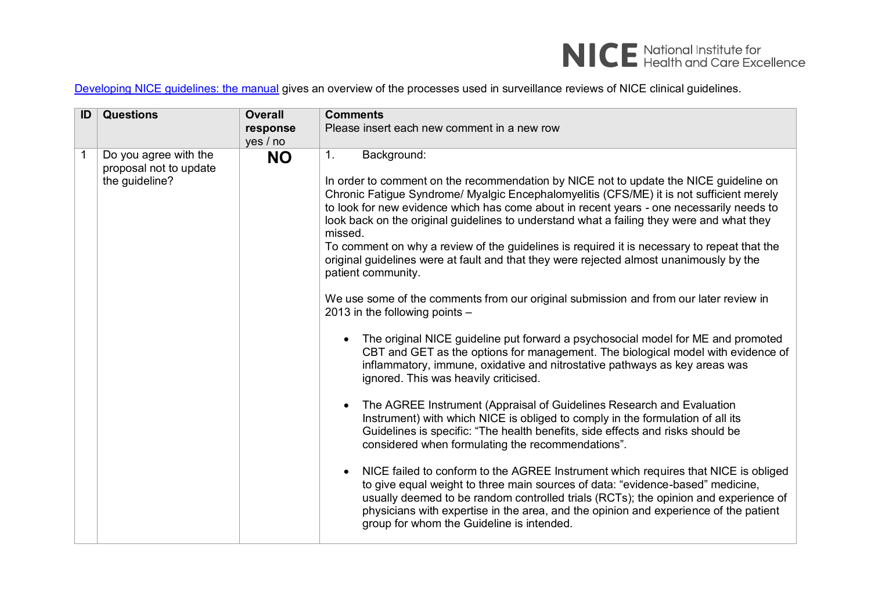

[Developing NICE guidelines: the manual](https://www.nice.org.uk/process/pmg20/chapter/1-introduction-and-overview) gives an overview of the processes used in surveillance reviews of NICE clinical guidelines.

| ID | <b>Questions</b>                                                  | <b>Overall</b><br>response<br>yes / no | <b>Comments</b><br>Please insert each new comment in a new row                                                                                                                                                                                                                                                                                                                                                                                                                                                                                                                                                                                                                                                                                                                                                                                                                                                                                                                                                                                                                                                                                                                                                                                                                                                                                                                                                                                                                                                                                                                                                                                                                                                                                                           |
|----|-------------------------------------------------------------------|----------------------------------------|--------------------------------------------------------------------------------------------------------------------------------------------------------------------------------------------------------------------------------------------------------------------------------------------------------------------------------------------------------------------------------------------------------------------------------------------------------------------------------------------------------------------------------------------------------------------------------------------------------------------------------------------------------------------------------------------------------------------------------------------------------------------------------------------------------------------------------------------------------------------------------------------------------------------------------------------------------------------------------------------------------------------------------------------------------------------------------------------------------------------------------------------------------------------------------------------------------------------------------------------------------------------------------------------------------------------------------------------------------------------------------------------------------------------------------------------------------------------------------------------------------------------------------------------------------------------------------------------------------------------------------------------------------------------------------------------------------------------------------------------------------------------------|
|    | Do you agree with the<br>proposal not to update<br>the guideline? | <b>NO</b>                              | Background:<br>$\mathbf{1}$ .<br>In order to comment on the recommendation by NICE not to update the NICE guideline on<br>Chronic Fatigue Syndrome/ Myalgic Encephalomyelitis (CFS/ME) it is not sufficient merely<br>to look for new evidence which has come about in recent years - one necessarily needs to<br>look back on the original guidelines to understand what a failing they were and what they<br>missed.<br>To comment on why a review of the guidelines is required it is necessary to repeat that the<br>original guidelines were at fault and that they were rejected almost unanimously by the<br>patient community.<br>We use some of the comments from our original submission and from our later review in<br>2013 in the following points $-$<br>The original NICE guideline put forward a psychosocial model for ME and promoted<br>CBT and GET as the options for management. The biological model with evidence of<br>inflammatory, immune, oxidative and nitrostative pathways as key areas was<br>ignored. This was heavily criticised.<br>The AGREE Instrument (Appraisal of Guidelines Research and Evaluation<br>Instrument) with which NICE is obliged to comply in the formulation of all its<br>Guidelines is specific: "The health benefits, side effects and risks should be<br>considered when formulating the recommendations".<br>NICE failed to conform to the AGREE Instrument which requires that NICE is obliged<br>to give equal weight to three main sources of data: "evidence-based" medicine,<br>usually deemed to be random controlled trials (RCTs); the opinion and experience of<br>physicians with expertise in the area, and the opinion and experience of the patient<br>group for whom the Guideline is intended. |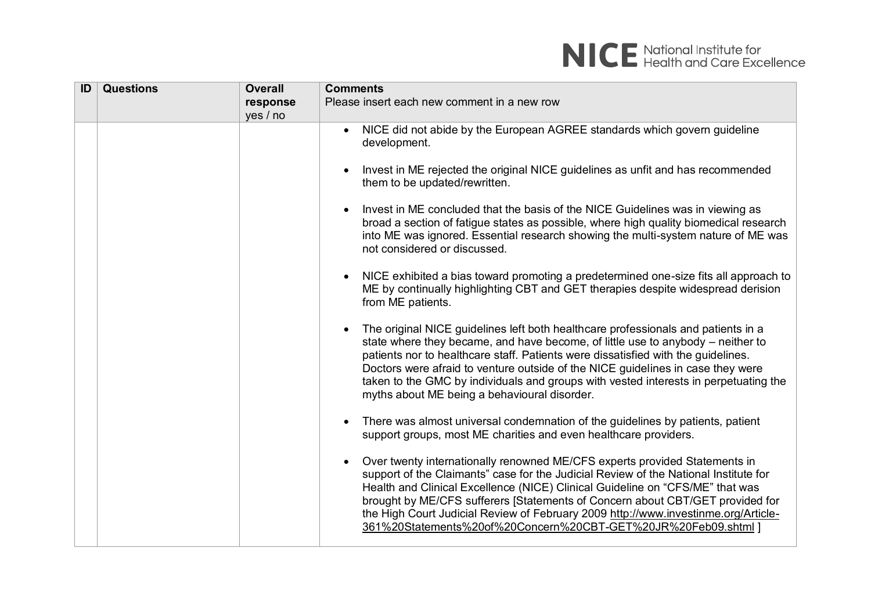| ID | <b>Questions</b> | <b>Overall</b> | <b>Comments</b>                                                                                                                                                                                                                                                                                                                                                                                                                                                                            |
|----|------------------|----------------|--------------------------------------------------------------------------------------------------------------------------------------------------------------------------------------------------------------------------------------------------------------------------------------------------------------------------------------------------------------------------------------------------------------------------------------------------------------------------------------------|
|    |                  | response       | Please insert each new comment in a new row                                                                                                                                                                                                                                                                                                                                                                                                                                                |
|    |                  | yes / no       |                                                                                                                                                                                                                                                                                                                                                                                                                                                                                            |
|    |                  |                | NICE did not abide by the European AGREE standards which govern guideline<br>$\bullet$<br>development.                                                                                                                                                                                                                                                                                                                                                                                     |
|    |                  |                | Invest in ME rejected the original NICE guidelines as unfit and has recommended<br>them to be updated/rewritten.                                                                                                                                                                                                                                                                                                                                                                           |
|    |                  |                | Invest in ME concluded that the basis of the NICE Guidelines was in viewing as<br>broad a section of fatigue states as possible, where high quality biomedical research<br>into ME was ignored. Essential research showing the multi-system nature of ME was<br>not considered or discussed.                                                                                                                                                                                               |
|    |                  |                | NICE exhibited a bias toward promoting a predetermined one-size fits all approach to<br>ME by continually highlighting CBT and GET therapies despite widespread derision<br>from ME patients.                                                                                                                                                                                                                                                                                              |
|    |                  |                | The original NICE guidelines left both healthcare professionals and patients in a<br>state where they became, and have become, of little use to anybody $-$ neither to<br>patients nor to healthcare staff. Patients were dissatisfied with the guidelines.<br>Doctors were afraid to venture outside of the NICE guidelines in case they were<br>taken to the GMC by individuals and groups with vested interests in perpetuating the<br>myths about ME being a behavioural disorder.     |
|    |                  |                | There was almost universal condemnation of the guidelines by patients, patient<br>support groups, most ME charities and even healthcare providers.                                                                                                                                                                                                                                                                                                                                         |
|    |                  |                | Over twenty internationally renowned ME/CFS experts provided Statements in<br>support of the Claimants" case for the Judicial Review of the National Institute for<br>Health and Clinical Excellence (NICE) Clinical Guideline on "CFS/ME" that was<br>brought by ME/CFS sufferers [Statements of Concern about CBT/GET provided for<br>the High Court Judicial Review of February 2009 http://www.investinme.org/Article-<br>361%20Statements%20of%20Concern%20CBT-GET%20JR%20Feb09.shtml |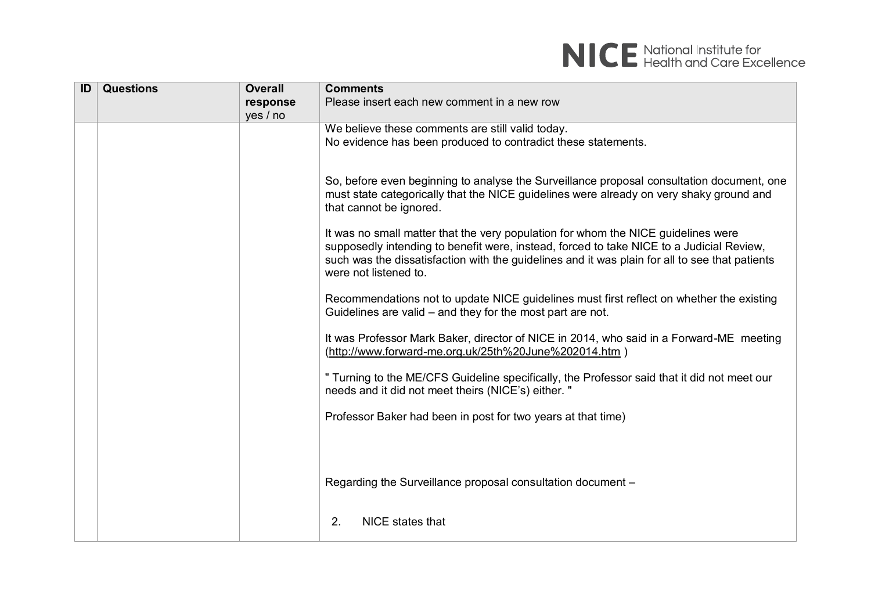

| ID | <b>Questions</b> | <b>Overall</b> | <b>Comments</b>                                                                                                                                                                                                                                                                                          |
|----|------------------|----------------|----------------------------------------------------------------------------------------------------------------------------------------------------------------------------------------------------------------------------------------------------------------------------------------------------------|
|    |                  | response       | Please insert each new comment in a new row                                                                                                                                                                                                                                                              |
|    |                  | yes / no       |                                                                                                                                                                                                                                                                                                          |
|    |                  |                | We believe these comments are still valid today.                                                                                                                                                                                                                                                         |
|    |                  |                | No evidence has been produced to contradict these statements.                                                                                                                                                                                                                                            |
|    |                  |                |                                                                                                                                                                                                                                                                                                          |
|    |                  |                | So, before even beginning to analyse the Surveillance proposal consultation document, one<br>must state categorically that the NICE guidelines were already on very shaky ground and                                                                                                                     |
|    |                  |                | that cannot be ignored.                                                                                                                                                                                                                                                                                  |
|    |                  |                | It was no small matter that the very population for whom the NICE guidelines were<br>supposedly intending to benefit were, instead, forced to take NICE to a Judicial Review,<br>such was the dissatisfaction with the guidelines and it was plain for all to see that patients<br>were not listened to. |
|    |                  |                | Recommendations not to update NICE guidelines must first reflect on whether the existing<br>Guidelines are valid $-$ and they for the most part are not.                                                                                                                                                 |
|    |                  |                | It was Professor Mark Baker, director of NICE in 2014, who said in a Forward-ME meeting<br>(http://www.forward-me.org.uk/25th%20June%202014.htm)                                                                                                                                                         |
|    |                  |                | " Turning to the ME/CFS Guideline specifically, the Professor said that it did not meet our<br>needs and it did not meet theirs (NICE's) either. "                                                                                                                                                       |
|    |                  |                | Professor Baker had been in post for two years at that time)                                                                                                                                                                                                                                             |
|    |                  |                |                                                                                                                                                                                                                                                                                                          |
|    |                  |                | Regarding the Surveillance proposal consultation document -                                                                                                                                                                                                                                              |
|    |                  |                | 2.<br>NICE states that                                                                                                                                                                                                                                                                                   |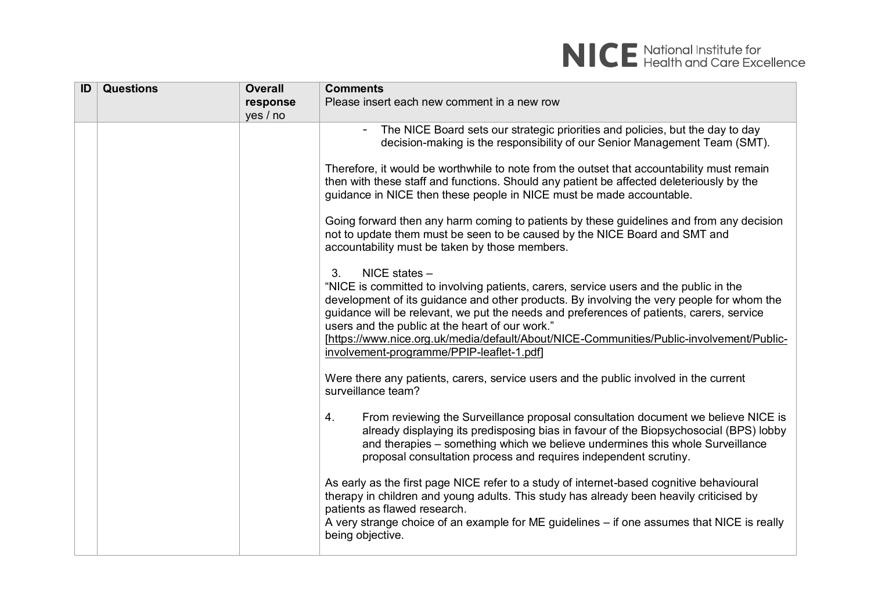

| ID | <b>Questions</b> | <b>Overall</b> | <b>Comments</b>                                                                                                                                                                                                                                                                                                                                                                                                                                                                                   |
|----|------------------|----------------|---------------------------------------------------------------------------------------------------------------------------------------------------------------------------------------------------------------------------------------------------------------------------------------------------------------------------------------------------------------------------------------------------------------------------------------------------------------------------------------------------|
|    |                  | response       | Please insert each new comment in a new row                                                                                                                                                                                                                                                                                                                                                                                                                                                       |
|    |                  | yes / no       |                                                                                                                                                                                                                                                                                                                                                                                                                                                                                                   |
|    |                  |                | The NICE Board sets our strategic priorities and policies, but the day to day<br>decision-making is the responsibility of our Senior Management Team (SMT).                                                                                                                                                                                                                                                                                                                                       |
|    |                  |                | Therefore, it would be worthwhile to note from the outset that accountability must remain<br>then with these staff and functions. Should any patient be affected deleteriously by the<br>guidance in NICE then these people in NICE must be made accountable.                                                                                                                                                                                                                                     |
|    |                  |                | Going forward then any harm coming to patients by these guidelines and from any decision<br>not to update them must be seen to be caused by the NICE Board and SMT and<br>accountability must be taken by those members.                                                                                                                                                                                                                                                                          |
|    |                  |                | NICE states -<br>3.<br>"NICE is committed to involving patients, carers, service users and the public in the<br>development of its guidance and other products. By involving the very people for whom the<br>guidance will be relevant, we put the needs and preferences of patients, carers, service<br>users and the public at the heart of our work."<br>[https://www.nice.org.uk/media/default/About/NICE-Communities/Public-involvement/Public-<br>involvement-programme/PPIP-leaflet-1.pdf] |
|    |                  |                | Were there any patients, carers, service users and the public involved in the current<br>surveillance team?                                                                                                                                                                                                                                                                                                                                                                                       |
|    |                  |                | From reviewing the Surveillance proposal consultation document we believe NICE is<br>4.<br>already displaying its predisposing bias in favour of the Biopsychosocial (BPS) lobby<br>and therapies – something which we believe undermines this whole Surveillance<br>proposal consultation process and requires independent scrutiny.                                                                                                                                                             |
|    |                  |                | As early as the first page NICE refer to a study of internet-based cognitive behavioural<br>therapy in children and young adults. This study has already been heavily criticised by<br>patients as flawed research.<br>A very strange choice of an example for ME guidelines - if one assumes that NICE is really<br>being objective.                                                                                                                                                             |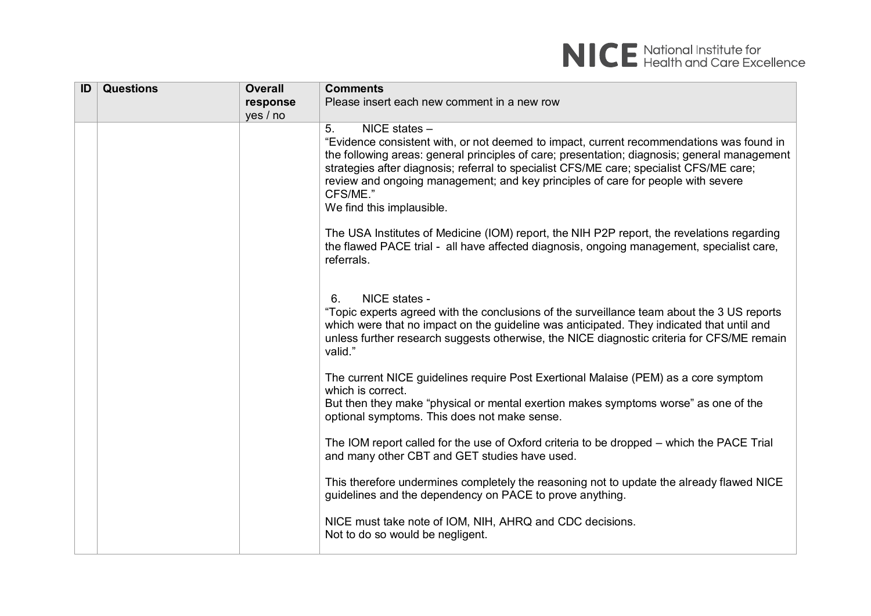

| ID | <b>Questions</b> | <b>Overall</b> | <b>Comments</b>                                                                                                                                                                                                                                                                                                                                                                                                                                         |
|----|------------------|----------------|---------------------------------------------------------------------------------------------------------------------------------------------------------------------------------------------------------------------------------------------------------------------------------------------------------------------------------------------------------------------------------------------------------------------------------------------------------|
|    |                  | response       | Please insert each new comment in a new row                                                                                                                                                                                                                                                                                                                                                                                                             |
|    |                  | yes / no       |                                                                                                                                                                                                                                                                                                                                                                                                                                                         |
|    |                  |                | 5 <sub>1</sub><br>$NICE$ states $-$<br>"Evidence consistent with, or not deemed to impact, current recommendations was found in<br>the following areas: general principles of care; presentation; diagnosis; general management<br>strategies after diagnosis; referral to specialist CFS/ME care; specialist CFS/ME care;<br>review and ongoing management; and key principles of care for people with severe<br>CFS/ME."<br>We find this implausible. |
|    |                  |                | The USA Institutes of Medicine (IOM) report, the NIH P2P report, the revelations regarding<br>the flawed PACE trial - all have affected diagnosis, ongoing management, specialist care,<br>referrals.                                                                                                                                                                                                                                                   |
|    |                  |                | NICE states -<br>6.<br>"Topic experts agreed with the conclusions of the surveillance team about the 3 US reports<br>which were that no impact on the guideline was anticipated. They indicated that until and<br>unless further research suggests otherwise, the NICE diagnostic criteria for CFS/ME remain<br>valid."                                                                                                                                 |
|    |                  |                | The current NICE guidelines require Post Exertional Malaise (PEM) as a core symptom<br>which is correct.<br>But then they make "physical or mental exertion makes symptoms worse" as one of the<br>optional symptoms. This does not make sense.                                                                                                                                                                                                         |
|    |                  |                | The IOM report called for the use of Oxford criteria to be dropped – which the PACE Trial<br>and many other CBT and GET studies have used.                                                                                                                                                                                                                                                                                                              |
|    |                  |                | This therefore undermines completely the reasoning not to update the already flawed NICE<br>guidelines and the dependency on PACE to prove anything.                                                                                                                                                                                                                                                                                                    |
|    |                  |                | NICE must take note of IOM, NIH, AHRQ and CDC decisions.<br>Not to do so would be negligent.                                                                                                                                                                                                                                                                                                                                                            |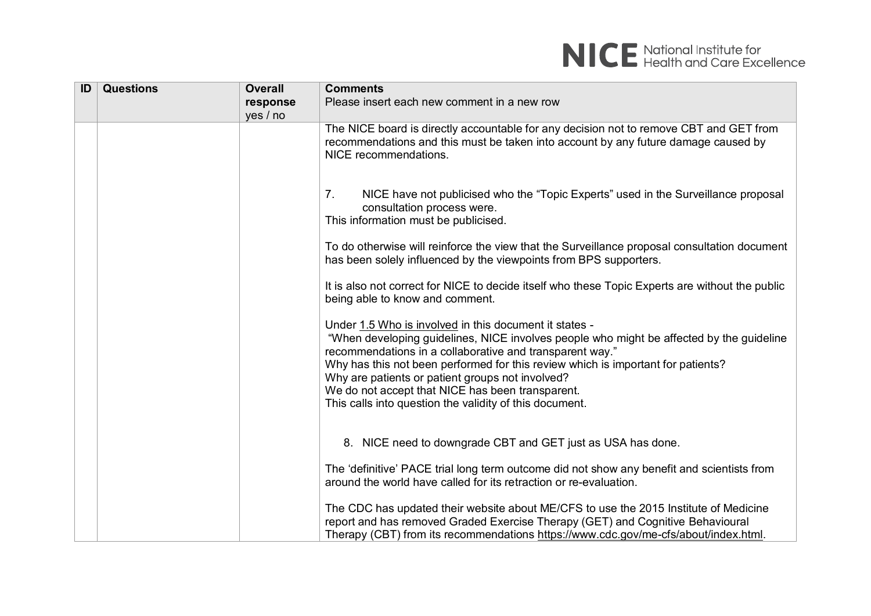

| ID | <b>Questions</b> | <b>Overall</b> | <b>Comments</b>                                                                                                                                                                                                                                                                                                                                                                                                                                                       |
|----|------------------|----------------|-----------------------------------------------------------------------------------------------------------------------------------------------------------------------------------------------------------------------------------------------------------------------------------------------------------------------------------------------------------------------------------------------------------------------------------------------------------------------|
|    |                  | response       | Please insert each new comment in a new row                                                                                                                                                                                                                                                                                                                                                                                                                           |
|    |                  | yes / no       |                                                                                                                                                                                                                                                                                                                                                                                                                                                                       |
|    |                  |                | The NICE board is directly accountable for any decision not to remove CBT and GET from<br>recommendations and this must be taken into account by any future damage caused by<br>NICE recommendations.                                                                                                                                                                                                                                                                 |
|    |                  |                | NICE have not publicised who the "Topic Experts" used in the Surveillance proposal<br>7.<br>consultation process were.<br>This information must be publicised.                                                                                                                                                                                                                                                                                                        |
|    |                  |                | To do otherwise will reinforce the view that the Surveillance proposal consultation document<br>has been solely influenced by the viewpoints from BPS supporters.                                                                                                                                                                                                                                                                                                     |
|    |                  |                | It is also not correct for NICE to decide itself who these Topic Experts are without the public<br>being able to know and comment.                                                                                                                                                                                                                                                                                                                                    |
|    |                  |                | Under 1.5 Who is involved in this document it states -<br>"When developing guidelines, NICE involves people who might be affected by the guideline<br>recommendations in a collaborative and transparent way."<br>Why has this not been performed for this review which is important for patients?<br>Why are patients or patient groups not involved?<br>We do not accept that NICE has been transparent.<br>This calls into question the validity of this document. |
|    |                  |                | 8. NICE need to downgrade CBT and GET just as USA has done.                                                                                                                                                                                                                                                                                                                                                                                                           |
|    |                  |                | The 'definitive' PACE trial long term outcome did not show any benefit and scientists from<br>around the world have called for its retraction or re-evaluation.                                                                                                                                                                                                                                                                                                       |
|    |                  |                | The CDC has updated their website about ME/CFS to use the 2015 Institute of Medicine<br>report and has removed Graded Exercise Therapy (GET) and Cognitive Behavioural<br>Therapy (CBT) from its recommendations https://www.cdc.gov/me-cfs/about/index.html.                                                                                                                                                                                                         |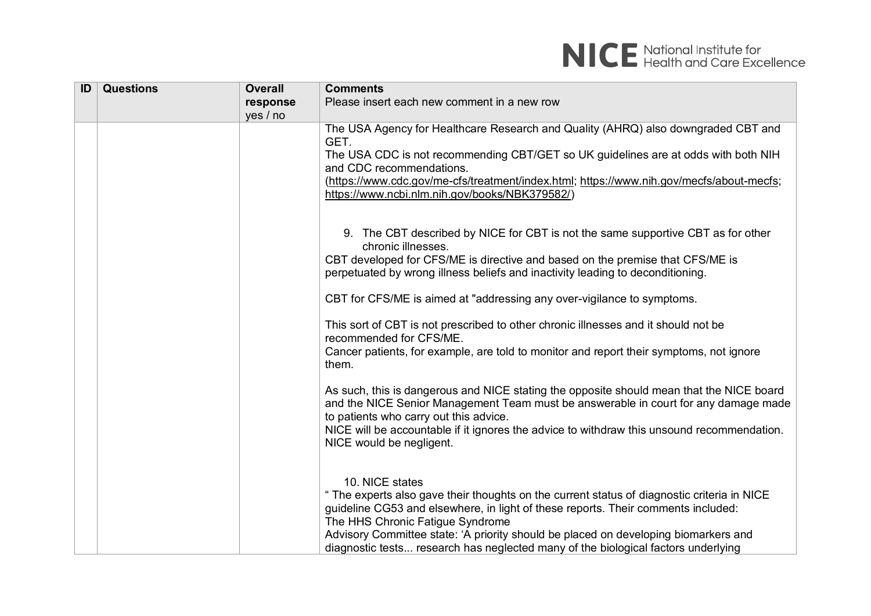| ID | <b>Questions</b> | <b>Overall</b> | <b>Comments</b>                                                                                                                                                          |
|----|------------------|----------------|--------------------------------------------------------------------------------------------------------------------------------------------------------------------------|
|    |                  | response       | Please insert each new comment in a new row                                                                                                                              |
|    |                  | yes / no       |                                                                                                                                                                          |
|    |                  |                | The USA Agency for Healthcare Research and Quality (AHRQ) also downgraded CBT and                                                                                        |
|    |                  |                | GET.                                                                                                                                                                     |
|    |                  |                | The USA CDC is not recommending CBT/GET so UK guidelines are at odds with both NIH                                                                                       |
|    |                  |                | and CDC recommendations.                                                                                                                                                 |
|    |                  |                | (https://www.cdc.gov/me-cfs/treatment/index.html; https://www.nih.gov/mecfs/about-mecfs;<br>https://www.ncbi.nlm.nih.gov/books/NBK379582/)                               |
|    |                  |                |                                                                                                                                                                          |
|    |                  |                |                                                                                                                                                                          |
|    |                  |                | 9. The CBT described by NICE for CBT is not the same supportive CBT as for other<br>chronic illnesses.                                                                   |
|    |                  |                | CBT developed for CFS/ME is directive and based on the premise that CFS/ME is                                                                                            |
|    |                  |                | perpetuated by wrong illness beliefs and inactivity leading to deconditioning.                                                                                           |
|    |                  |                |                                                                                                                                                                          |
|    |                  |                | CBT for CFS/ME is aimed at "addressing any over-vigilance to symptoms.                                                                                                   |
|    |                  |                | This sort of CBT is not prescribed to other chronic illnesses and it should not be                                                                                       |
|    |                  |                | recommended for CFS/ME.                                                                                                                                                  |
|    |                  |                | Cancer patients, for example, are told to monitor and report their symptoms, not ignore<br>them.                                                                         |
|    |                  |                |                                                                                                                                                                          |
|    |                  |                | As such, this is dangerous and NICE stating the opposite should mean that the NICE board                                                                                 |
|    |                  |                | and the NICE Senior Management Team must be answerable in court for any damage made                                                                                      |
|    |                  |                | to patients who carry out this advice.<br>NICE will be accountable if it ignores the advice to withdraw this unsound recommendation.                                     |
|    |                  |                | NICE would be negligent.                                                                                                                                                 |
|    |                  |                |                                                                                                                                                                          |
|    |                  |                |                                                                                                                                                                          |
|    |                  |                | 10. NICE states                                                                                                                                                          |
|    |                  |                | " The experts also gave their thoughts on the current status of diagnostic criteria in NICE                                                                              |
|    |                  |                | guideline CG53 and elsewhere, in light of these reports. Their comments included:                                                                                        |
|    |                  |                | The HHS Chronic Fatigue Syndrome                                                                                                                                         |
|    |                  |                | Advisory Committee state: 'A priority should be placed on developing biomarkers and<br>diagnostic tests research has neglected many of the biological factors underlying |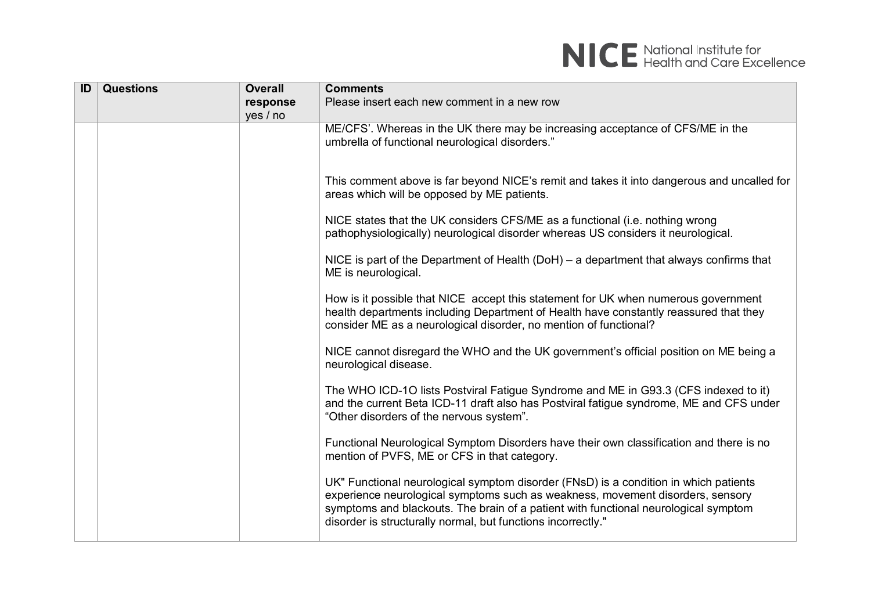

| ID | <b>Questions</b> | <b>Overall</b> | <b>Comments</b>                                                                                                                                                                                                                                                                                                               |
|----|------------------|----------------|-------------------------------------------------------------------------------------------------------------------------------------------------------------------------------------------------------------------------------------------------------------------------------------------------------------------------------|
|    |                  | response       | Please insert each new comment in a new row                                                                                                                                                                                                                                                                                   |
|    |                  | yes / no       |                                                                                                                                                                                                                                                                                                                               |
|    |                  |                | ME/CFS'. Whereas in the UK there may be increasing acceptance of CFS/ME in the<br>umbrella of functional neurological disorders."                                                                                                                                                                                             |
|    |                  |                | This comment above is far beyond NICE's remit and takes it into dangerous and uncalled for<br>areas which will be opposed by ME patients.                                                                                                                                                                                     |
|    |                  |                | NICE states that the UK considers CFS/ME as a functional (i.e. nothing wrong<br>pathophysiologically) neurological disorder whereas US considers it neurological.                                                                                                                                                             |
|    |                  |                | NICE is part of the Department of Health (DoH) $-$ a department that always confirms that<br>ME is neurological.                                                                                                                                                                                                              |
|    |                  |                | How is it possible that NICE accept this statement for UK when numerous government<br>health departments including Department of Health have constantly reassured that they<br>consider ME as a neurological disorder, no mention of functional?                                                                              |
|    |                  |                | NICE cannot disregard the WHO and the UK government's official position on ME being a<br>neurological disease.                                                                                                                                                                                                                |
|    |                  |                | The WHO ICD-1O lists Postviral Fatigue Syndrome and ME in G93.3 (CFS indexed to it)<br>and the current Beta ICD-11 draft also has Postviral fatigue syndrome, ME and CFS under<br>"Other disorders of the nervous system".                                                                                                    |
|    |                  |                | Functional Neurological Symptom Disorders have their own classification and there is no<br>mention of PVFS, ME or CFS in that category.                                                                                                                                                                                       |
|    |                  |                | UK" Functional neurological symptom disorder (FNsD) is a condition in which patients<br>experience neurological symptoms such as weakness, movement disorders, sensory<br>symptoms and blackouts. The brain of a patient with functional neurological symptom<br>disorder is structurally normal, but functions incorrectly." |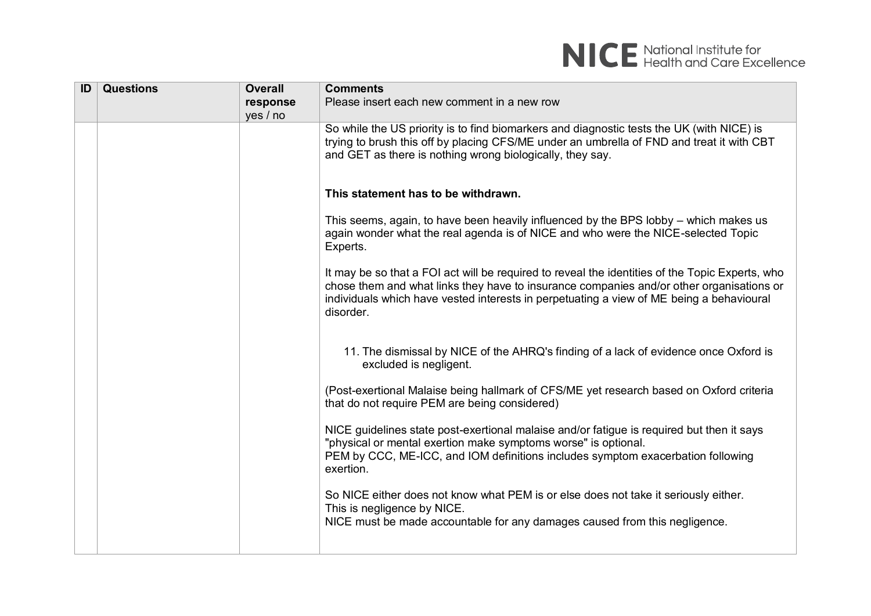

| ID | <b>Questions</b> | <b>Overall</b> | <b>Comments</b>                                                                                                                                                                                                                                                                                      |
|----|------------------|----------------|------------------------------------------------------------------------------------------------------------------------------------------------------------------------------------------------------------------------------------------------------------------------------------------------------|
|    |                  | response       | Please insert each new comment in a new row                                                                                                                                                                                                                                                          |
|    |                  | yes / no       |                                                                                                                                                                                                                                                                                                      |
|    |                  |                | So while the US priority is to find biomarkers and diagnostic tests the UK (with NICE) is<br>trying to brush this off by placing CFS/ME under an umbrella of FND and treat it with CBT<br>and GET as there is nothing wrong biologically, they say.                                                  |
|    |                  |                | This statement has to be withdrawn.                                                                                                                                                                                                                                                                  |
|    |                  |                | This seems, again, to have been heavily influenced by the BPS lobby – which makes us<br>again wonder what the real agenda is of NICE and who were the NICE-selected Topic<br>Experts.                                                                                                                |
|    |                  |                | It may be so that a FOI act will be required to reveal the identities of the Topic Experts, who<br>chose them and what links they have to insurance companies and/or other organisations or<br>individuals which have vested interests in perpetuating a view of ME being a behavioural<br>disorder. |
|    |                  |                | 11. The dismissal by NICE of the AHRQ's finding of a lack of evidence once Oxford is<br>excluded is negligent.                                                                                                                                                                                       |
|    |                  |                | (Post-exertional Malaise being hallmark of CFS/ME yet research based on Oxford criteria<br>that do not require PEM are being considered)                                                                                                                                                             |
|    |                  |                | NICE guidelines state post-exertional malaise and/or fatigue is required but then it says<br>"physical or mental exertion make symptoms worse" is optional.<br>PEM by CCC, ME-ICC, and IOM definitions includes symptom exacerbation following<br>exertion.                                          |
|    |                  |                | So NICE either does not know what PEM is or else does not take it seriously either.<br>This is negligence by NICE.                                                                                                                                                                                   |
|    |                  |                | NICE must be made accountable for any damages caused from this negligence.                                                                                                                                                                                                                           |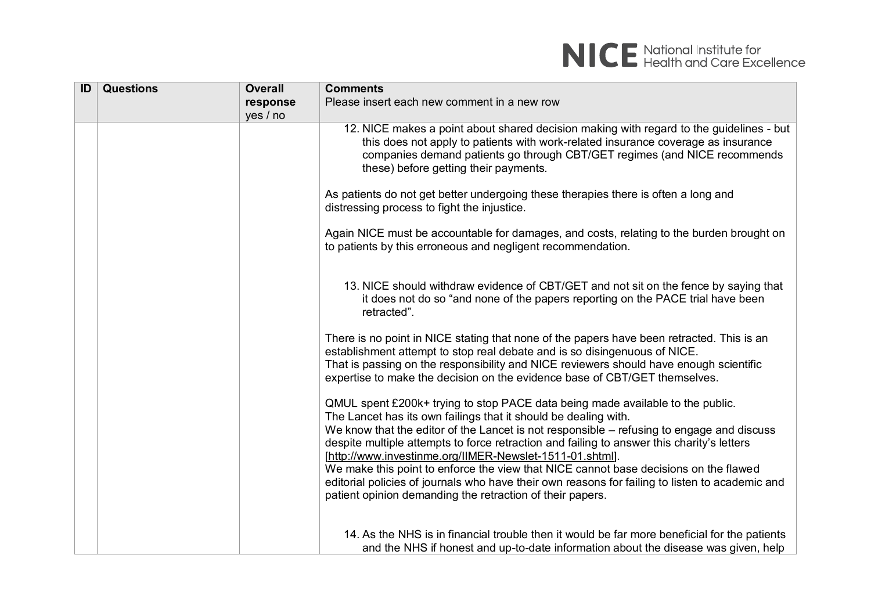| ID | <b>Questions</b> | <b>Overall</b> | <b>Comments</b>                                                                                                                                                                                                                                                                                                                                                                                                                                                                                                                                                                                                                                                  |
|----|------------------|----------------|------------------------------------------------------------------------------------------------------------------------------------------------------------------------------------------------------------------------------------------------------------------------------------------------------------------------------------------------------------------------------------------------------------------------------------------------------------------------------------------------------------------------------------------------------------------------------------------------------------------------------------------------------------------|
|    |                  | response       | Please insert each new comment in a new row                                                                                                                                                                                                                                                                                                                                                                                                                                                                                                                                                                                                                      |
|    |                  | yes / no       |                                                                                                                                                                                                                                                                                                                                                                                                                                                                                                                                                                                                                                                                  |
|    |                  |                | 12. NICE makes a point about shared decision making with regard to the guidelines - but<br>this does not apply to patients with work-related insurance coverage as insurance<br>companies demand patients go through CBT/GET regimes (and NICE recommends<br>these) before getting their payments.                                                                                                                                                                                                                                                                                                                                                               |
|    |                  |                | As patients do not get better undergoing these therapies there is often a long and<br>distressing process to fight the injustice.                                                                                                                                                                                                                                                                                                                                                                                                                                                                                                                                |
|    |                  |                | Again NICE must be accountable for damages, and costs, relating to the burden brought on<br>to patients by this erroneous and negligent recommendation.                                                                                                                                                                                                                                                                                                                                                                                                                                                                                                          |
|    |                  |                | 13. NICE should withdraw evidence of CBT/GET and not sit on the fence by saying that<br>it does not do so "and none of the papers reporting on the PACE trial have been<br>retracted".                                                                                                                                                                                                                                                                                                                                                                                                                                                                           |
|    |                  |                | There is no point in NICE stating that none of the papers have been retracted. This is an<br>establishment attempt to stop real debate and is so disingenuous of NICE.<br>That is passing on the responsibility and NICE reviewers should have enough scientific<br>expertise to make the decision on the evidence base of CBT/GET themselves.                                                                                                                                                                                                                                                                                                                   |
|    |                  |                | QMUL spent £200k+ trying to stop PACE data being made available to the public.<br>The Lancet has its own failings that it should be dealing with.<br>We know that the editor of the Lancet is not responsible – refusing to engage and discuss<br>despite multiple attempts to force retraction and failing to answer this charity's letters<br>[http://www.investinme.org/IIMER-Newslet-1511-01.shtml].<br>We make this point to enforce the view that NICE cannot base decisions on the flawed<br>editorial policies of journals who have their own reasons for failing to listen to academic and<br>patient opinion demanding the retraction of their papers. |
|    |                  |                | 14. As the NHS is in financial trouble then it would be far more beneficial for the patients<br>and the NHS if honest and up-to-date information about the disease was given, help                                                                                                                                                                                                                                                                                                                                                                                                                                                                               |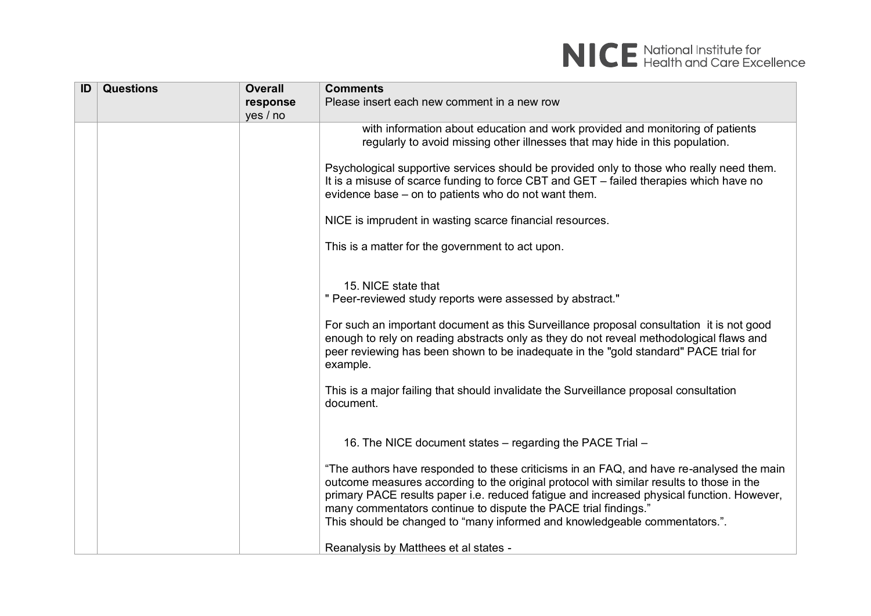

| ID | <b>Questions</b> | <b>Overall</b> | <b>Comments</b>                                                                                                                                                                                                                                                                                                                                                                                                                    |
|----|------------------|----------------|------------------------------------------------------------------------------------------------------------------------------------------------------------------------------------------------------------------------------------------------------------------------------------------------------------------------------------------------------------------------------------------------------------------------------------|
|    |                  | response       | Please insert each new comment in a new row                                                                                                                                                                                                                                                                                                                                                                                        |
|    |                  | yes / no       |                                                                                                                                                                                                                                                                                                                                                                                                                                    |
|    |                  |                | with information about education and work provided and monitoring of patients<br>regularly to avoid missing other illnesses that may hide in this population.                                                                                                                                                                                                                                                                      |
|    |                  |                | Psychological supportive services should be provided only to those who really need them.<br>It is a misuse of scarce funding to force CBT and GET - failed therapies which have no<br>evidence base – on to patients who do not want them.                                                                                                                                                                                         |
|    |                  |                | NICE is imprudent in wasting scarce financial resources.                                                                                                                                                                                                                                                                                                                                                                           |
|    |                  |                | This is a matter for the government to act upon.                                                                                                                                                                                                                                                                                                                                                                                   |
|    |                  |                | 15. NICE state that<br>" Peer-reviewed study reports were assessed by abstract."                                                                                                                                                                                                                                                                                                                                                   |
|    |                  |                | For such an important document as this Surveillance proposal consultation it is not good<br>enough to rely on reading abstracts only as they do not reveal methodological flaws and<br>peer reviewing has been shown to be inadequate in the "gold standard" PACE trial for<br>example.                                                                                                                                            |
|    |                  |                | This is a major failing that should invalidate the Surveillance proposal consultation<br>document.                                                                                                                                                                                                                                                                                                                                 |
|    |                  |                | 16. The NICE document states – regarding the PACE Trial –                                                                                                                                                                                                                                                                                                                                                                          |
|    |                  |                | "The authors have responded to these criticisms in an FAQ, and have re-analysed the main<br>outcome measures according to the original protocol with similar results to those in the<br>primary PACE results paper i.e. reduced fatigue and increased physical function. However,<br>many commentators continue to dispute the PACE trial findings."<br>This should be changed to "many informed and knowledgeable commentators.". |
|    |                  |                | Reanalysis by Matthees et al states -                                                                                                                                                                                                                                                                                                                                                                                              |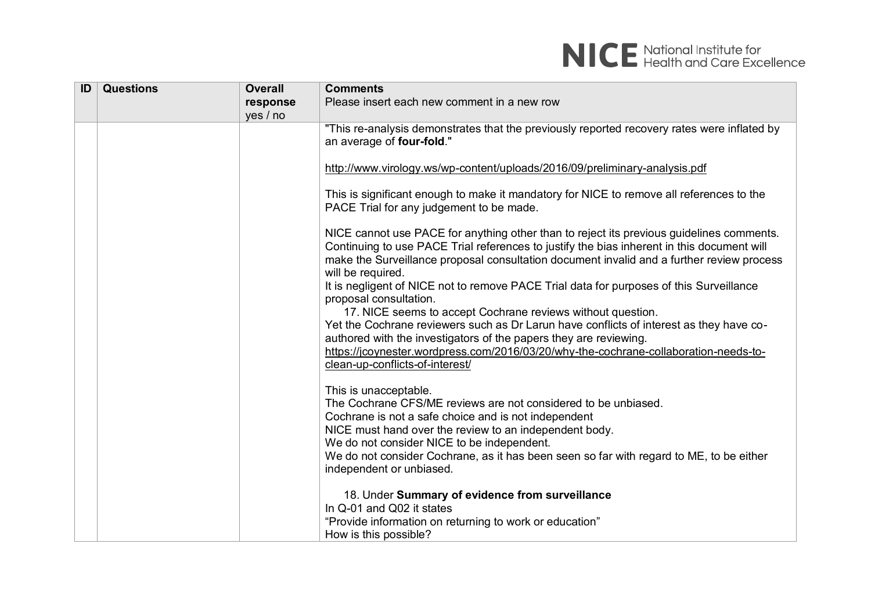

| ID | <b>Questions</b> | <b>Overall</b> | <b>Comments</b>                                                                                                                                                                                                                                                                                                                                                                                                               |
|----|------------------|----------------|-------------------------------------------------------------------------------------------------------------------------------------------------------------------------------------------------------------------------------------------------------------------------------------------------------------------------------------------------------------------------------------------------------------------------------|
|    |                  | response       | Please insert each new comment in a new row                                                                                                                                                                                                                                                                                                                                                                                   |
|    |                  | yes / no       |                                                                                                                                                                                                                                                                                                                                                                                                                               |
|    |                  |                | "This re-analysis demonstrates that the previously reported recovery rates were inflated by<br>an average of four-fold."                                                                                                                                                                                                                                                                                                      |
|    |                  |                | http://www.virology.ws/wp-content/uploads/2016/09/preliminary-analysis.pdf                                                                                                                                                                                                                                                                                                                                                    |
|    |                  |                | This is significant enough to make it mandatory for NICE to remove all references to the<br>PACE Trial for any judgement to be made.                                                                                                                                                                                                                                                                                          |
|    |                  |                | NICE cannot use PACE for anything other than to reject its previous guidelines comments.<br>Continuing to use PACE Trial references to justify the bias inherent in this document will<br>make the Surveillance proposal consultation document invalid and a further review process<br>will be required.<br>It is negligent of NICE not to remove PACE Trial data for purposes of this Surveillance<br>proposal consultation. |
|    |                  |                | 17. NICE seems to accept Cochrane reviews without question.<br>Yet the Cochrane reviewers such as Dr Larun have conflicts of interest as they have co-                                                                                                                                                                                                                                                                        |
|    |                  |                | authored with the investigators of the papers they are reviewing.                                                                                                                                                                                                                                                                                                                                                             |
|    |                  |                | https://jcoynester.wordpress.com/2016/03/20/why-the-cochrane-collaboration-needs-to-<br>clean-up-conflicts-of-interest/                                                                                                                                                                                                                                                                                                       |
|    |                  |                | This is unacceptable.<br>The Cochrane CFS/ME reviews are not considered to be unbiased.<br>Cochrane is not a safe choice and is not independent<br>NICE must hand over the review to an independent body.                                                                                                                                                                                                                     |
|    |                  |                | We do not consider NICE to be independent.                                                                                                                                                                                                                                                                                                                                                                                    |
|    |                  |                | We do not consider Cochrane, as it has been seen so far with regard to ME, to be either<br>independent or unbiased.                                                                                                                                                                                                                                                                                                           |
|    |                  |                | 18. Under Summary of evidence from surveillance<br>In Q-01 and Q02 it states                                                                                                                                                                                                                                                                                                                                                  |
|    |                  |                | "Provide information on returning to work or education"<br>How is this possible?                                                                                                                                                                                                                                                                                                                                              |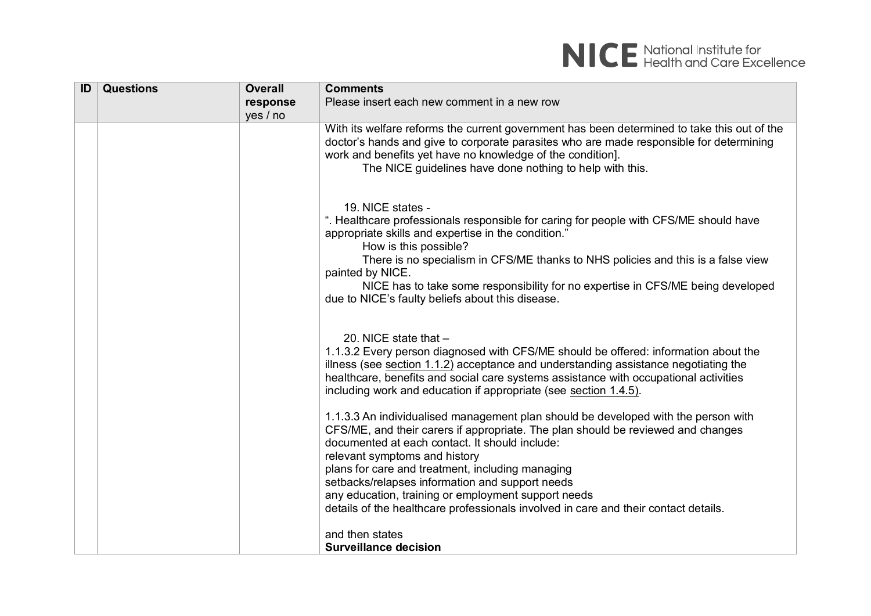

| ID | <b>Questions</b> | <b>Overall</b> | <b>Comments</b>                                                                                                                                                                                                                                                                                                                                                                                                                                                                                                |
|----|------------------|----------------|----------------------------------------------------------------------------------------------------------------------------------------------------------------------------------------------------------------------------------------------------------------------------------------------------------------------------------------------------------------------------------------------------------------------------------------------------------------------------------------------------------------|
|    |                  | response       | Please insert each new comment in a new row                                                                                                                                                                                                                                                                                                                                                                                                                                                                    |
|    |                  | yes / no       |                                                                                                                                                                                                                                                                                                                                                                                                                                                                                                                |
|    |                  |                | With its welfare reforms the current government has been determined to take this out of the<br>doctor's hands and give to corporate parasites who are made responsible for determining<br>work and benefits yet have no knowledge of the condition].<br>The NICE guidelines have done nothing to help with this.                                                                                                                                                                                               |
|    |                  |                | 19. NICE states -<br>". Healthcare professionals responsible for caring for people with CFS/ME should have<br>appropriate skills and expertise in the condition."<br>How is this possible?<br>There is no specialism in CFS/ME thanks to NHS policies and this is a false view<br>painted by NICE.<br>NICE has to take some responsibility for no expertise in CFS/ME being developed<br>due to NICE's faulty beliefs about this disease.                                                                      |
|    |                  |                | 20. NICE state that $-$<br>1.1.3.2 Every person diagnosed with CFS/ME should be offered: information about the<br>illness (see section 1.1.2) acceptance and understanding assistance negotiating the<br>healthcare, benefits and social care systems assistance with occupational activities<br>including work and education if appropriate (see section 1.4.5).                                                                                                                                              |
|    |                  |                | 1.1.3.3 An individualised management plan should be developed with the person with<br>CFS/ME, and their carers if appropriate. The plan should be reviewed and changes<br>documented at each contact. It should include:<br>relevant symptoms and history<br>plans for care and treatment, including managing<br>setbacks/relapses information and support needs<br>any education, training or employment support needs<br>details of the healthcare professionals involved in care and their contact details. |
|    |                  |                | and then states<br><b>Surveillance decision</b>                                                                                                                                                                                                                                                                                                                                                                                                                                                                |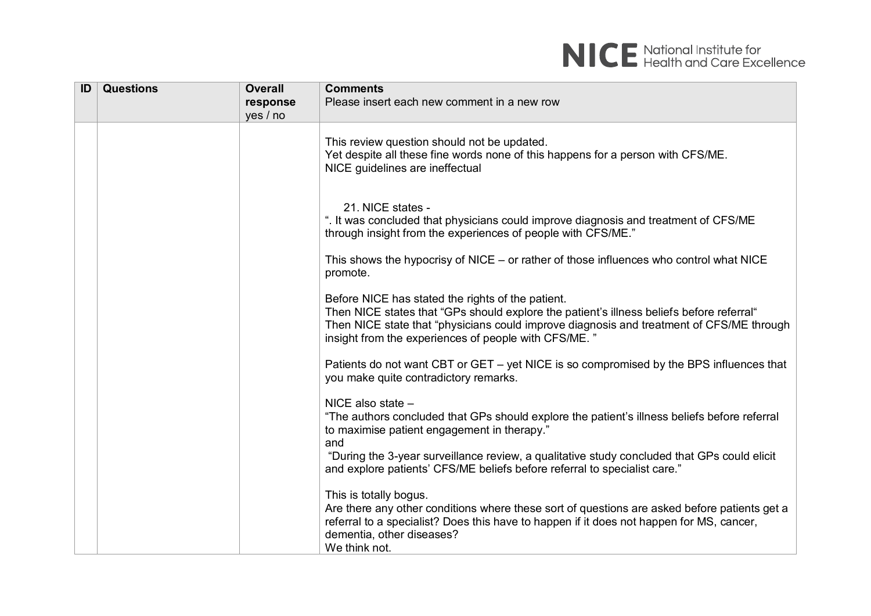| ID | <b>Questions</b> | <b>Overall</b>       | <b>Comments</b><br>Please insert each new comment in a new row                                                                                                                                                                                                                                    |
|----|------------------|----------------------|---------------------------------------------------------------------------------------------------------------------------------------------------------------------------------------------------------------------------------------------------------------------------------------------------|
|    |                  | response<br>yes / no |                                                                                                                                                                                                                                                                                                   |
|    |                  |                      | This review question should not be updated.<br>Yet despite all these fine words none of this happens for a person with CFS/ME.<br>NICE guidelines are ineffectual                                                                                                                                 |
|    |                  |                      | 21. NICE states -<br>". It was concluded that physicians could improve diagnosis and treatment of CFS/ME<br>through insight from the experiences of people with CFS/ME."                                                                                                                          |
|    |                  |                      | This shows the hypocrisy of $NICE - or$ rather of those influences who control what $NICE$<br>promote.                                                                                                                                                                                            |
|    |                  |                      | Before NICE has stated the rights of the patient.<br>Then NICE states that "GPs should explore the patient's illness beliefs before referral"<br>Then NICE state that "physicians could improve diagnosis and treatment of CFS/ME through<br>insight from the experiences of people with CFS/ME." |
|    |                  |                      | Patients do not want CBT or GET - yet NICE is so compromised by the BPS influences that<br>you make quite contradictory remarks.                                                                                                                                                                  |
|    |                  |                      | NICE also state $-$<br>"The authors concluded that GPs should explore the patient's illness beliefs before referral<br>to maximise patient engagement in therapy."<br>and                                                                                                                         |
|    |                  |                      | "During the 3-year surveillance review, a qualitative study concluded that GPs could elicit<br>and explore patients' CFS/ME beliefs before referral to specialist care."                                                                                                                          |
|    |                  |                      | This is totally bogus.<br>Are there any other conditions where these sort of questions are asked before patients get a<br>referral to a specialist? Does this have to happen if it does not happen for MS, cancer,<br>dementia, other diseases?<br>We think not.                                  |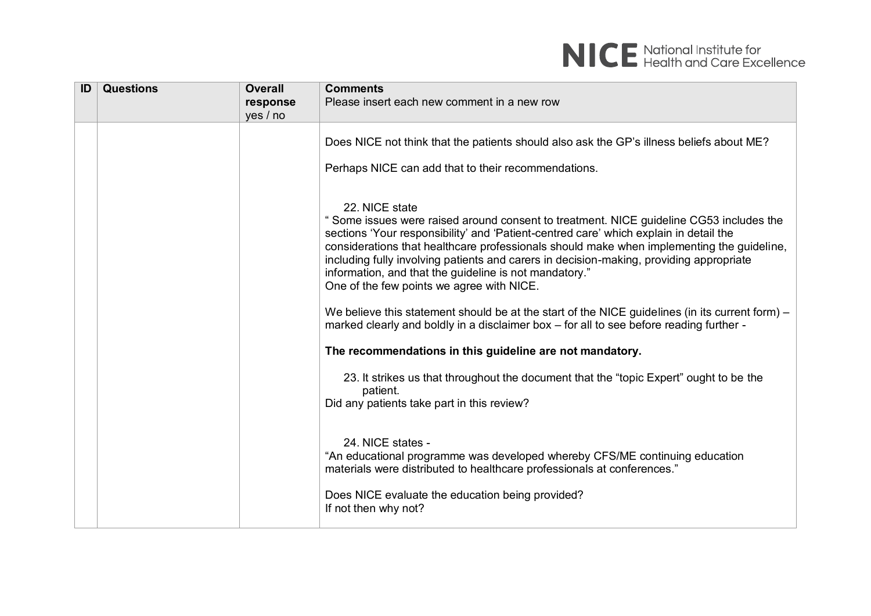

| ID | <b>Questions</b> | <b>Overall</b> | <b>Comments</b>                                                                                                                                                                                                                                                                                                                                                                                                                                                                                                                                                                                        |
|----|------------------|----------------|--------------------------------------------------------------------------------------------------------------------------------------------------------------------------------------------------------------------------------------------------------------------------------------------------------------------------------------------------------------------------------------------------------------------------------------------------------------------------------------------------------------------------------------------------------------------------------------------------------|
|    |                  | response       | Please insert each new comment in a new row                                                                                                                                                                                                                                                                                                                                                                                                                                                                                                                                                            |
|    |                  | yes / no       |                                                                                                                                                                                                                                                                                                                                                                                                                                                                                                                                                                                                        |
|    |                  |                | Does NICE not think that the patients should also ask the GP's illness beliefs about ME?<br>Perhaps NICE can add that to their recommendations.                                                                                                                                                                                                                                                                                                                                                                                                                                                        |
|    |                  |                | 22. NICE state<br>" Some issues were raised around consent to treatment. NICE guideline CG53 includes the<br>sections 'Your responsibility' and 'Patient-centred care' which explain in detail the<br>considerations that healthcare professionals should make when implementing the guideline,<br>including fully involving patients and carers in decision-making, providing appropriate<br>information, and that the guideline is not mandatory."<br>One of the few points we agree with NICE.<br>We believe this statement should be at the start of the NICE guidelines (in its current form) $-$ |
|    |                  |                | marked clearly and boldly in a disclaimer box - for all to see before reading further -                                                                                                                                                                                                                                                                                                                                                                                                                                                                                                                |
|    |                  |                | The recommendations in this guideline are not mandatory.                                                                                                                                                                                                                                                                                                                                                                                                                                                                                                                                               |
|    |                  |                | 23. It strikes us that throughout the document that the "topic Expert" ought to be the<br>patient.<br>Did any patients take part in this review?                                                                                                                                                                                                                                                                                                                                                                                                                                                       |
|    |                  |                | 24. NICE states -<br>"An educational programme was developed whereby CFS/ME continuing education<br>materials were distributed to healthcare professionals at conferences."                                                                                                                                                                                                                                                                                                                                                                                                                            |
|    |                  |                | Does NICE evaluate the education being provided?<br>If not then why not?                                                                                                                                                                                                                                                                                                                                                                                                                                                                                                                               |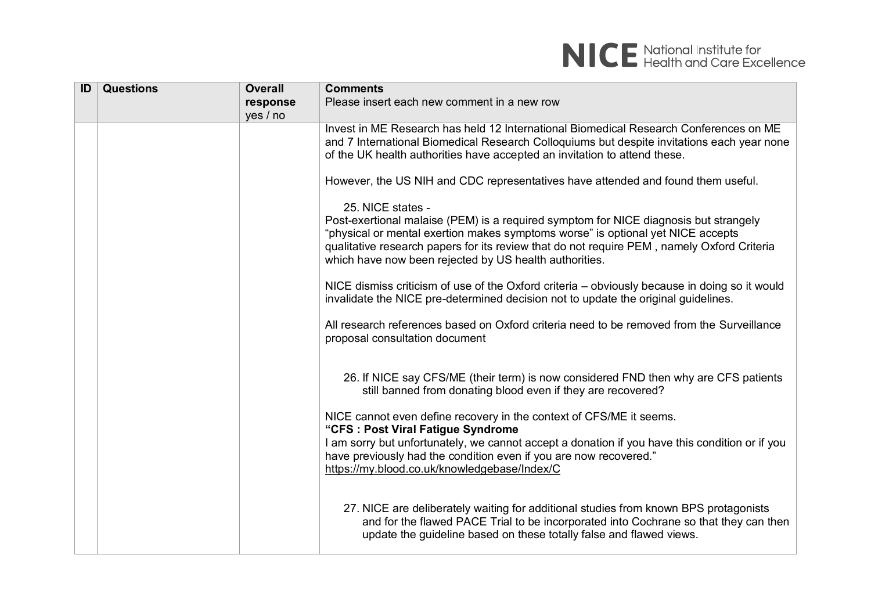

| ID | <b>Questions</b> | <b>Overall</b> | <b>Comments</b>                                                                                                                                                                                                                                                                                                                                      |
|----|------------------|----------------|------------------------------------------------------------------------------------------------------------------------------------------------------------------------------------------------------------------------------------------------------------------------------------------------------------------------------------------------------|
|    |                  | response       | Please insert each new comment in a new row                                                                                                                                                                                                                                                                                                          |
|    |                  | yes / no       |                                                                                                                                                                                                                                                                                                                                                      |
|    |                  |                | Invest in ME Research has held 12 International Biomedical Research Conferences on ME<br>and 7 International Biomedical Research Colloquiums but despite invitations each year none<br>of the UK health authorities have accepted an invitation to attend these.                                                                                     |
|    |                  |                | However, the US NIH and CDC representatives have attended and found them useful.                                                                                                                                                                                                                                                                     |
|    |                  |                | 25. NICE states -<br>Post-exertional malaise (PEM) is a required symptom for NICE diagnosis but strangely<br>"physical or mental exertion makes symptoms worse" is optional yet NICE accepts<br>qualitative research papers for its review that do not require PEM, namely Oxford Criteria<br>which have now been rejected by US health authorities. |
|    |                  |                | NICE dismiss criticism of use of the Oxford criteria – obviously because in doing so it would<br>invalidate the NICE pre-determined decision not to update the original guidelines.                                                                                                                                                                  |
|    |                  |                | All research references based on Oxford criteria need to be removed from the Surveillance<br>proposal consultation document                                                                                                                                                                                                                          |
|    |                  |                | 26. If NICE say CFS/ME (their term) is now considered FND then why are CFS patients<br>still banned from donating blood even if they are recovered?                                                                                                                                                                                                  |
|    |                  |                | NICE cannot even define recovery in the context of CFS/ME it seems.<br>"CFS : Post Viral Fatigue Syndrome<br>I am sorry but unfortunately, we cannot accept a donation if you have this condition or if you<br>have previously had the condition even if you are now recovered."<br>https://my.blood.co.uk/knowledgebase/Index/C                     |
|    |                  |                | 27. NICE are deliberately waiting for additional studies from known BPS protagonists<br>and for the flawed PACE Trial to be incorporated into Cochrane so that they can then<br>update the guideline based on these totally false and flawed views.                                                                                                  |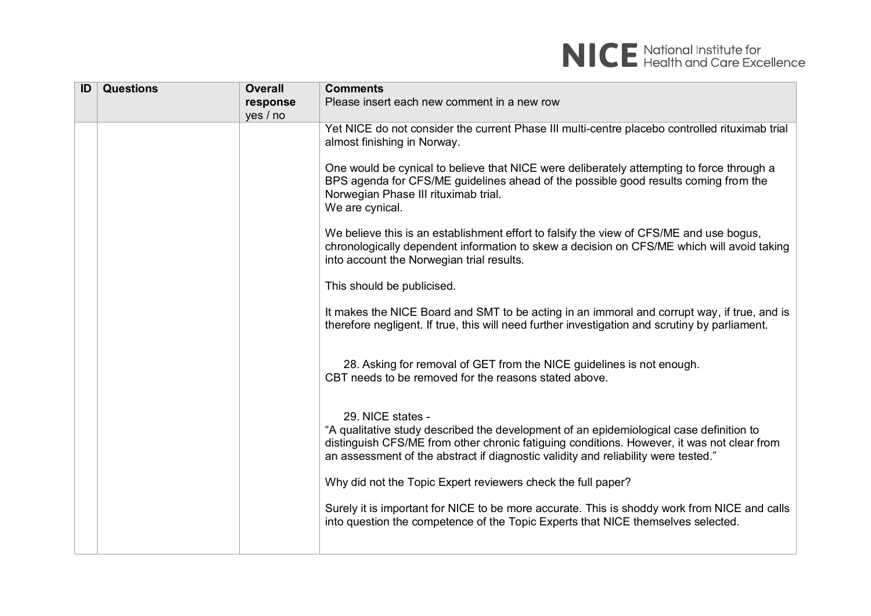

| ID | <b>Questions</b> | <b>Overall</b> | <b>Comments</b>                                                                                                                                                                                                                                                                                  |
|----|------------------|----------------|--------------------------------------------------------------------------------------------------------------------------------------------------------------------------------------------------------------------------------------------------------------------------------------------------|
|    |                  | response       | Please insert each new comment in a new row                                                                                                                                                                                                                                                      |
|    |                  | yes / no       |                                                                                                                                                                                                                                                                                                  |
|    |                  |                | Yet NICE do not consider the current Phase III multi-centre placebo controlled rituximab trial<br>almost finishing in Norway.                                                                                                                                                                    |
|    |                  |                | One would be cynical to believe that NICE were deliberately attempting to force through a<br>BPS agenda for CFS/ME guidelines ahead of the possible good results coming from the<br>Norwegian Phase III rituximab trial.<br>We are cynical.                                                      |
|    |                  |                | We believe this is an establishment effort to falsify the view of CFS/ME and use bogus,<br>chronologically dependent information to skew a decision on CFS/ME which will avoid taking<br>into account the Norwegian trial results.                                                               |
|    |                  |                | This should be publicised.                                                                                                                                                                                                                                                                       |
|    |                  |                | It makes the NICE Board and SMT to be acting in an immoral and corrupt way, if true, and is<br>therefore negligent. If true, this will need further investigation and scrutiny by parliament.                                                                                                    |
|    |                  |                | 28. Asking for removal of GET from the NICE guidelines is not enough.<br>CBT needs to be removed for the reasons stated above.                                                                                                                                                                   |
|    |                  |                | 29. NICE states -<br>"A qualitative study described the development of an epidemiological case definition to<br>distinguish CFS/ME from other chronic fatiguing conditions. However, it was not clear from<br>an assessment of the abstract if diagnostic validity and reliability were tested." |
|    |                  |                | Why did not the Topic Expert reviewers check the full paper?                                                                                                                                                                                                                                     |
|    |                  |                | Surely it is important for NICE to be more accurate. This is shoddy work from NICE and calls<br>into question the competence of the Topic Experts that NICE themselves selected.                                                                                                                 |
|    |                  |                |                                                                                                                                                                                                                                                                                                  |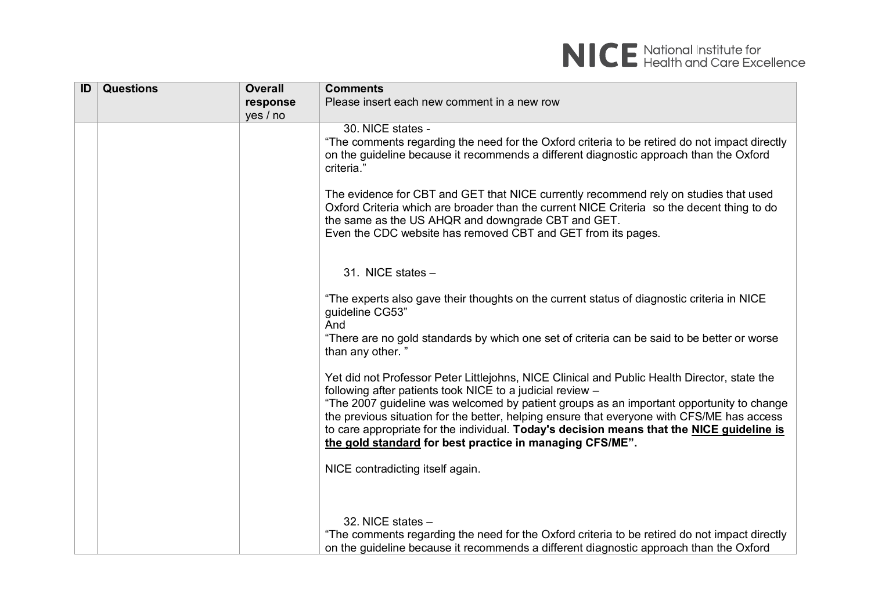

| ID | <b>Questions</b> | <b>Overall</b> | <b>Comments</b>                                                                                                                                                                                                                                                                                                                                 |
|----|------------------|----------------|-------------------------------------------------------------------------------------------------------------------------------------------------------------------------------------------------------------------------------------------------------------------------------------------------------------------------------------------------|
|    |                  | response       | Please insert each new comment in a new row                                                                                                                                                                                                                                                                                                     |
|    |                  | yes / no       |                                                                                                                                                                                                                                                                                                                                                 |
|    |                  |                | 30. NICE states -<br>"The comments regarding the need for the Oxford criteria to be retired do not impact directly<br>on the guideline because it recommends a different diagnostic approach than the Oxford<br>criteria."                                                                                                                      |
|    |                  |                | The evidence for CBT and GET that NICE currently recommend rely on studies that used<br>Oxford Criteria which are broader than the current NICE Criteria so the decent thing to do<br>the same as the US AHQR and downgrade CBT and GET.<br>Even the CDC website has removed CBT and GET from its pages.                                        |
|    |                  |                | 31. NICE states $-$                                                                                                                                                                                                                                                                                                                             |
|    |                  |                | "The experts also gave their thoughts on the current status of diagnostic criteria in NICE<br>guideline CG53"<br>And                                                                                                                                                                                                                            |
|    |                  |                | "There are no gold standards by which one set of criteria can be said to be better or worse<br>than any other."                                                                                                                                                                                                                                 |
|    |                  |                | Yet did not Professor Peter Littlejohns, NICE Clinical and Public Health Director, state the<br>following after patients took NICE to a judicial review -                                                                                                                                                                                       |
|    |                  |                | "The 2007 guideline was welcomed by patient groups as an important opportunity to change<br>the previous situation for the better, helping ensure that everyone with CFS/ME has access<br>to care appropriate for the individual. Today's decision means that the NICE guideline is<br>the gold standard for best practice in managing CFS/ME". |
|    |                  |                | NICE contradicting itself again.                                                                                                                                                                                                                                                                                                                |
|    |                  |                | 32. NICE states $-$<br>"The comments regarding the need for the Oxford criteria to be retired do not impact directly<br>on the quideline because it recommends a different diagnostic approach than the Oxford                                                                                                                                  |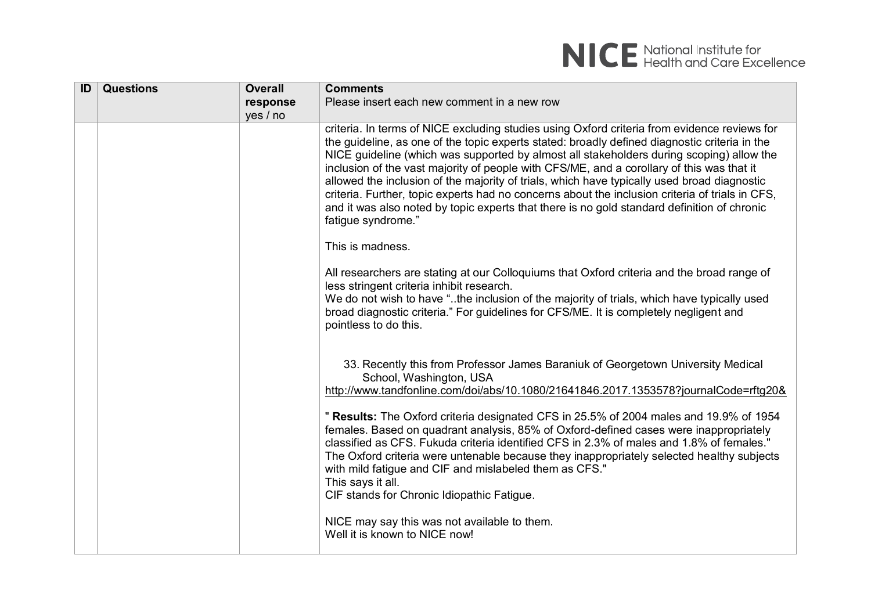

| ID | <b>Questions</b> | <b>Overall</b> | <b>Comments</b>                                                                                                                                                                                                                                                                                                                                                                                                                                                                                                                                                                                                                                                                                               |
|----|------------------|----------------|---------------------------------------------------------------------------------------------------------------------------------------------------------------------------------------------------------------------------------------------------------------------------------------------------------------------------------------------------------------------------------------------------------------------------------------------------------------------------------------------------------------------------------------------------------------------------------------------------------------------------------------------------------------------------------------------------------------|
|    |                  | response       | Please insert each new comment in a new row                                                                                                                                                                                                                                                                                                                                                                                                                                                                                                                                                                                                                                                                   |
|    |                  | yes / no       |                                                                                                                                                                                                                                                                                                                                                                                                                                                                                                                                                                                                                                                                                                               |
|    |                  |                | criteria. In terms of NICE excluding studies using Oxford criteria from evidence reviews for<br>the guideline, as one of the topic experts stated: broadly defined diagnostic criteria in the<br>NICE guideline (which was supported by almost all stakeholders during scoping) allow the<br>inclusion of the vast majority of people with CFS/ME, and a corollary of this was that it<br>allowed the inclusion of the majority of trials, which have typically used broad diagnostic<br>criteria. Further, topic experts had no concerns about the inclusion criteria of trials in CFS,<br>and it was also noted by topic experts that there is no gold standard definition of chronic<br>fatigue syndrome." |
|    |                  |                | This is madness.                                                                                                                                                                                                                                                                                                                                                                                                                                                                                                                                                                                                                                                                                              |
|    |                  |                | All researchers are stating at our Colloquiums that Oxford criteria and the broad range of<br>less stringent criteria inhibit research.<br>We do not wish to have "the inclusion of the majority of trials, which have typically used<br>broad diagnostic criteria." For guidelines for CFS/ME. It is completely negligent and<br>pointless to do this.                                                                                                                                                                                                                                                                                                                                                       |
|    |                  |                | 33. Recently this from Professor James Baraniuk of Georgetown University Medical<br>School, Washington, USA<br>http://www.tandfonline.com/doi/abs/10.1080/21641846.2017.1353578?journalCode=rftg20&                                                                                                                                                                                                                                                                                                                                                                                                                                                                                                           |
|    |                  |                | " Results: The Oxford criteria designated CFS in 25.5% of 2004 males and 19.9% of 1954<br>females. Based on quadrant analysis, 85% of Oxford-defined cases were inappropriately<br>classified as CFS. Fukuda criteria identified CFS in 2.3% of males and 1.8% of females."<br>The Oxford criteria were untenable because they inappropriately selected healthy subjects<br>with mild fatigue and CIF and mislabeled them as CFS."<br>This says it all.<br>CIF stands for Chronic Idiopathic Fatigue.                                                                                                                                                                                                         |
|    |                  |                | NICE may say this was not available to them.<br>Well it is known to NICE now!                                                                                                                                                                                                                                                                                                                                                                                                                                                                                                                                                                                                                                 |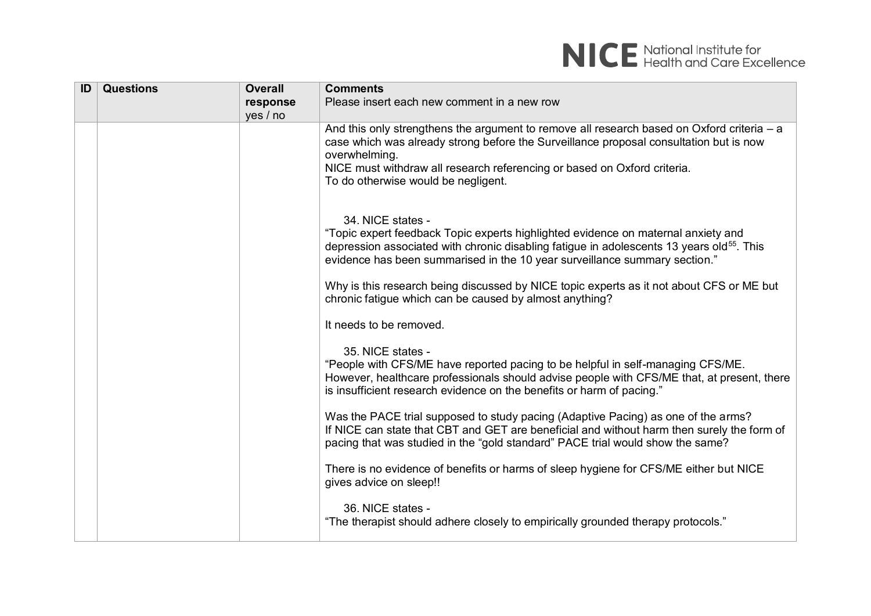

| ID | <b>Questions</b> | <b>Overall</b> | <b>Comments</b>                                                                                                                                                                                                                                                                                                            |
|----|------------------|----------------|----------------------------------------------------------------------------------------------------------------------------------------------------------------------------------------------------------------------------------------------------------------------------------------------------------------------------|
|    |                  | response       | Please insert each new comment in a new row                                                                                                                                                                                                                                                                                |
|    |                  | yes / no       |                                                                                                                                                                                                                                                                                                                            |
|    |                  |                | And this only strengthens the argument to remove all research based on Oxford criteria $-$ a<br>case which was already strong before the Surveillance proposal consultation but is now<br>overwhelming.<br>NICE must withdraw all research referencing or based on Oxford criteria.<br>To do otherwise would be negligent. |
|    |                  |                | 34. NICE states -<br>"Topic expert feedback Topic experts highlighted evidence on maternal anxiety and<br>depression associated with chronic disabling fatigue in adolescents 13 years old <sup>55</sup> . This<br>evidence has been summarised in the 10 year surveillance summary section."                              |
|    |                  |                | Why is this research being discussed by NICE topic experts as it not about CFS or ME but<br>chronic fatigue which can be caused by almost anything?                                                                                                                                                                        |
|    |                  |                | It needs to be removed.                                                                                                                                                                                                                                                                                                    |
|    |                  |                | 35. NICE states -<br>"People with CFS/ME have reported pacing to be helpful in self-managing CFS/ME.<br>However, healthcare professionals should advise people with CFS/ME that, at present, there<br>is insufficient research evidence on the benefits or harm of pacing."                                                |
|    |                  |                | Was the PACE trial supposed to study pacing (Adaptive Pacing) as one of the arms?<br>If NICE can state that CBT and GET are beneficial and without harm then surely the form of<br>pacing that was studied in the "gold standard" PACE trial would show the same?                                                          |
|    |                  |                | There is no evidence of benefits or harms of sleep hygiene for CFS/ME either but NICE<br>gives advice on sleep!!                                                                                                                                                                                                           |
|    |                  |                | 36. NICE states -<br>"The therapist should adhere closely to empirically grounded therapy protocols."                                                                                                                                                                                                                      |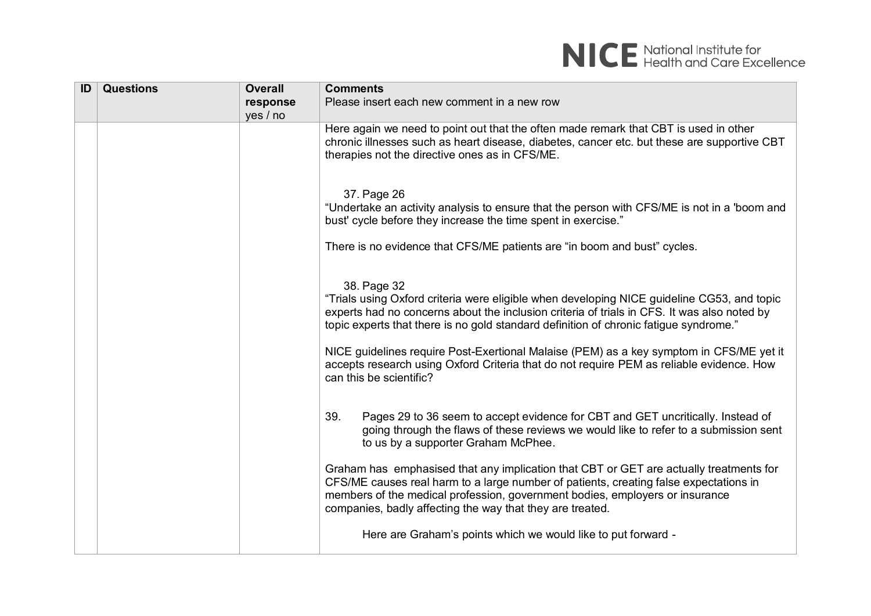

| ID | <b>Questions</b> | <b>Overall</b> | <b>Comments</b>                                                                                                                                                                                                                                                                                                                                                                                                                                                                                                     |
|----|------------------|----------------|---------------------------------------------------------------------------------------------------------------------------------------------------------------------------------------------------------------------------------------------------------------------------------------------------------------------------------------------------------------------------------------------------------------------------------------------------------------------------------------------------------------------|
|    |                  | response       | Please insert each new comment in a new row                                                                                                                                                                                                                                                                                                                                                                                                                                                                         |
|    |                  | yes / no       |                                                                                                                                                                                                                                                                                                                                                                                                                                                                                                                     |
|    |                  |                | Here again we need to point out that the often made remark that CBT is used in other<br>chronic illnesses such as heart disease, diabetes, cancer etc. but these are supportive CBT<br>therapies not the directive ones as in CFS/ME.                                                                                                                                                                                                                                                                               |
|    |                  |                | 37. Page 26<br>"Undertake an activity analysis to ensure that the person with CFS/ME is not in a 'boom and<br>bust' cycle before they increase the time spent in exercise."                                                                                                                                                                                                                                                                                                                                         |
|    |                  |                | There is no evidence that CFS/ME patients are "in boom and bust" cycles.                                                                                                                                                                                                                                                                                                                                                                                                                                            |
|    |                  |                | 38. Page 32<br>"Trials using Oxford criteria were eligible when developing NICE guideline CG53, and topic<br>experts had no concerns about the inclusion criteria of trials in CFS. It was also noted by<br>topic experts that there is no gold standard definition of chronic fatigue syndrome."<br>NICE guidelines require Post-Exertional Malaise (PEM) as a key symptom in CFS/ME yet it<br>accepts research using Oxford Criteria that do not require PEM as reliable evidence. How<br>can this be scientific? |
|    |                  |                | 39.<br>Pages 29 to 36 seem to accept evidence for CBT and GET uncritically. Instead of<br>going through the flaws of these reviews we would like to refer to a submission sent<br>to us by a supporter Graham McPhee.                                                                                                                                                                                                                                                                                               |
|    |                  |                | Graham has emphasised that any implication that CBT or GET are actually treatments for<br>CFS/ME causes real harm to a large number of patients, creating false expectations in<br>members of the medical profession, government bodies, employers or insurance<br>companies, badly affecting the way that they are treated.                                                                                                                                                                                        |
|    |                  |                | Here are Graham's points which we would like to put forward -                                                                                                                                                                                                                                                                                                                                                                                                                                                       |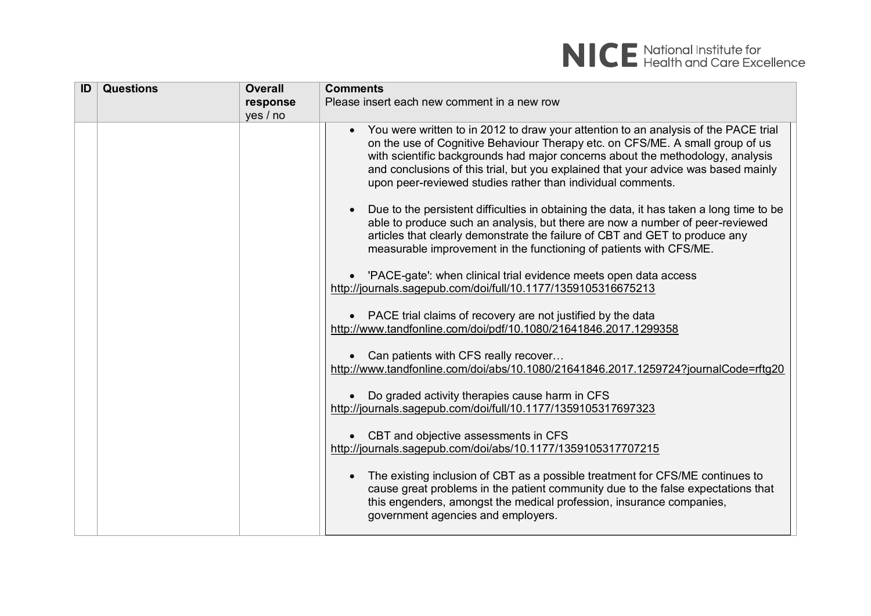| ID | <b>Questions</b> | <b>Overall</b> | <b>Comments</b>                                                                                                                                                                                                                                                                                                                                                                                                                                                                                                                                                                                                                                                                                                                                                                                                                                                                                                                                                                                                                                                                                                                                                                                                                                                                                                                                                                                                                                                                                                                                                                                                                  |
|----|------------------|----------------|----------------------------------------------------------------------------------------------------------------------------------------------------------------------------------------------------------------------------------------------------------------------------------------------------------------------------------------------------------------------------------------------------------------------------------------------------------------------------------------------------------------------------------------------------------------------------------------------------------------------------------------------------------------------------------------------------------------------------------------------------------------------------------------------------------------------------------------------------------------------------------------------------------------------------------------------------------------------------------------------------------------------------------------------------------------------------------------------------------------------------------------------------------------------------------------------------------------------------------------------------------------------------------------------------------------------------------------------------------------------------------------------------------------------------------------------------------------------------------------------------------------------------------------------------------------------------------------------------------------------------------|
|    |                  | response       | Please insert each new comment in a new row                                                                                                                                                                                                                                                                                                                                                                                                                                                                                                                                                                                                                                                                                                                                                                                                                                                                                                                                                                                                                                                                                                                                                                                                                                                                                                                                                                                                                                                                                                                                                                                      |
|    |                  | yes / no       |                                                                                                                                                                                                                                                                                                                                                                                                                                                                                                                                                                                                                                                                                                                                                                                                                                                                                                                                                                                                                                                                                                                                                                                                                                                                                                                                                                                                                                                                                                                                                                                                                                  |
|    |                  |                | You were written to in 2012 to draw your attention to an analysis of the PACE trial<br>on the use of Cognitive Behaviour Therapy etc. on CFS/ME. A small group of us<br>with scientific backgrounds had major concerns about the methodology, analysis<br>and conclusions of this trial, but you explained that your advice was based mainly<br>upon peer-reviewed studies rather than individual comments.<br>Due to the persistent difficulties in obtaining the data, it has taken a long time to be<br>able to produce such an analysis, but there are now a number of peer-reviewed<br>articles that clearly demonstrate the failure of CBT and GET to produce any<br>measurable improvement in the functioning of patients with CFS/ME.<br>'PACE-gate': when clinical trial evidence meets open data access<br>http://journals.sagepub.com/doi/full/10.1177/1359105316675213<br>PACE trial claims of recovery are not justified by the data<br>http://www.tandfonline.com/doi/pdf/10.1080/21641846.2017.1299358<br>• Can patients with CFS really recover<br>http://www.tandfonline.com/doi/abs/10.1080/21641846.2017.1259724?journalCode=rftg20<br>Do graded activity therapies cause harm in CFS<br>http://journals.sagepub.com/doi/full/10.1177/1359105317697323<br>• CBT and objective assessments in CFS<br>http://journals.sagepub.com/doi/abs/10.1177/1359105317707215<br>The existing inclusion of CBT as a possible treatment for CFS/ME continues to<br>cause great problems in the patient community due to the false expectations that<br>this engenders, amongst the medical profession, insurance companies, |
|    |                  |                | government agencies and employers.                                                                                                                                                                                                                                                                                                                                                                                                                                                                                                                                                                                                                                                                                                                                                                                                                                                                                                                                                                                                                                                                                                                                                                                                                                                                                                                                                                                                                                                                                                                                                                                               |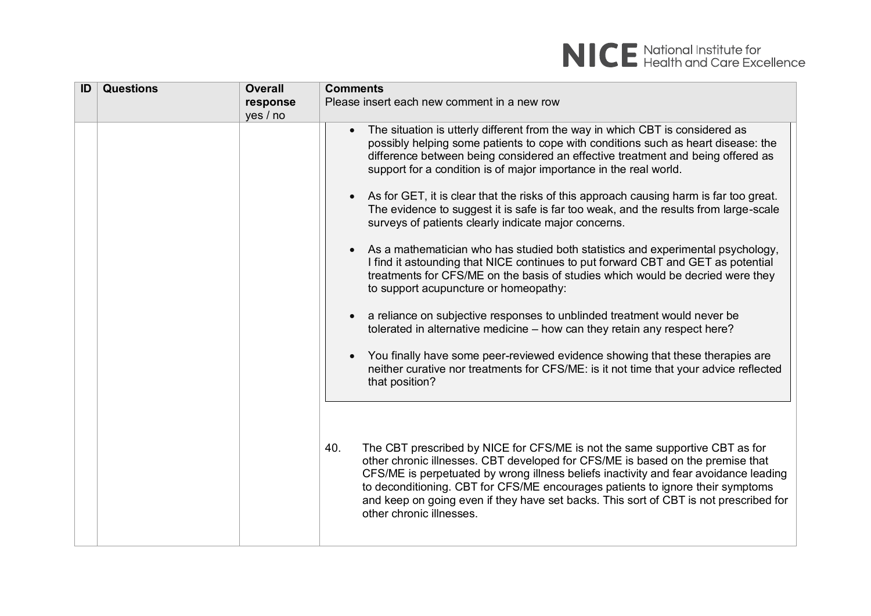| ID | <b>Questions</b> | <b>Overall</b> | <b>Comments</b>                                                                                                                                                                                                                                                                                                                                                                                                                                                                                                                                                                                                                                                                                                                                                                                                                                                                                                                                                                                                                                                                                                                                                                                                                                                                                                                                                                                                                                                                                                                                                                                                                                                                                                                           |
|----|------------------|----------------|-------------------------------------------------------------------------------------------------------------------------------------------------------------------------------------------------------------------------------------------------------------------------------------------------------------------------------------------------------------------------------------------------------------------------------------------------------------------------------------------------------------------------------------------------------------------------------------------------------------------------------------------------------------------------------------------------------------------------------------------------------------------------------------------------------------------------------------------------------------------------------------------------------------------------------------------------------------------------------------------------------------------------------------------------------------------------------------------------------------------------------------------------------------------------------------------------------------------------------------------------------------------------------------------------------------------------------------------------------------------------------------------------------------------------------------------------------------------------------------------------------------------------------------------------------------------------------------------------------------------------------------------------------------------------------------------------------------------------------------------|
|    |                  | response       | Please insert each new comment in a new row                                                                                                                                                                                                                                                                                                                                                                                                                                                                                                                                                                                                                                                                                                                                                                                                                                                                                                                                                                                                                                                                                                                                                                                                                                                                                                                                                                                                                                                                                                                                                                                                                                                                                               |
|    |                  | yes / no       |                                                                                                                                                                                                                                                                                                                                                                                                                                                                                                                                                                                                                                                                                                                                                                                                                                                                                                                                                                                                                                                                                                                                                                                                                                                                                                                                                                                                                                                                                                                                                                                                                                                                                                                                           |
|    |                  |                | The situation is utterly different from the way in which CBT is considered as<br>possibly helping some patients to cope with conditions such as heart disease: the<br>difference between being considered an effective treatment and being offered as<br>support for a condition is of major importance in the real world.<br>As for GET, it is clear that the risks of this approach causing harm is far too great.<br>$\bullet$<br>The evidence to suggest it is safe is far too weak, and the results from large-scale<br>surveys of patients clearly indicate major concerns.<br>As a mathematician who has studied both statistics and experimental psychology,<br>$\bullet$<br>I find it astounding that NICE continues to put forward CBT and GET as potential<br>treatments for CFS/ME on the basis of studies which would be decried were they<br>to support acupuncture or homeopathy:<br>a reliance on subjective responses to unblinded treatment would never be<br>tolerated in alternative medicine - how can they retain any respect here?<br>You finally have some peer-reviewed evidence showing that these therapies are<br>$\bullet$<br>neither curative nor treatments for CFS/ME: is it not time that your advice reflected<br>that position?<br>40.<br>The CBT prescribed by NICE for CFS/ME is not the same supportive CBT as for<br>other chronic illnesses. CBT developed for CFS/ME is based on the premise that<br>CFS/ME is perpetuated by wrong illness beliefs inactivity and fear avoidance leading<br>to deconditioning. CBT for CFS/ME encourages patients to ignore their symptoms<br>and keep on going even if they have set backs. This sort of CBT is not prescribed for<br>other chronic illnesses. |
|    |                  |                |                                                                                                                                                                                                                                                                                                                                                                                                                                                                                                                                                                                                                                                                                                                                                                                                                                                                                                                                                                                                                                                                                                                                                                                                                                                                                                                                                                                                                                                                                                                                                                                                                                                                                                                                           |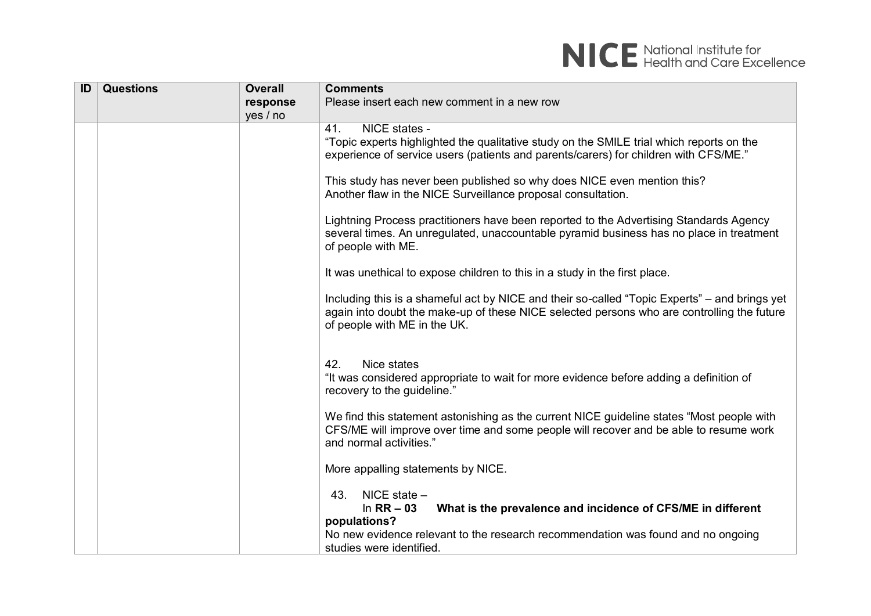

| ID | <b>Questions</b> | <b>Overall</b> | <b>Comments</b>                                                                                                                                                                                                                      |
|----|------------------|----------------|--------------------------------------------------------------------------------------------------------------------------------------------------------------------------------------------------------------------------------------|
|    |                  | response       | Please insert each new comment in a new row                                                                                                                                                                                          |
|    |                  | yes / no       |                                                                                                                                                                                                                                      |
|    |                  |                | 41.<br>NICE states -<br>"Topic experts highlighted the qualitative study on the SMILE trial which reports on the<br>experience of service users (patients and parents/carers) for children with CFS/ME."                             |
|    |                  |                | This study has never been published so why does NICE even mention this?<br>Another flaw in the NICE Surveillance proposal consultation.                                                                                              |
|    |                  |                | Lightning Process practitioners have been reported to the Advertising Standards Agency<br>several times. An unregulated, unaccountable pyramid business has no place in treatment<br>of people with ME.                              |
|    |                  |                | It was unethical to expose children to this in a study in the first place.                                                                                                                                                           |
|    |                  |                | Including this is a shameful act by NICE and their so-called "Topic Experts" – and brings yet<br>again into doubt the make-up of these NICE selected persons who are controlling the future<br>of people with ME in the UK.          |
|    |                  |                | 42.<br>Nice states<br>"It was considered appropriate to wait for more evidence before adding a definition of<br>recovery to the guideline."                                                                                          |
|    |                  |                | We find this statement astonishing as the current NICE guideline states "Most people with<br>CFS/ME will improve over time and some people will recover and be able to resume work<br>and normal activities."                        |
|    |                  |                | More appalling statements by NICE.                                                                                                                                                                                                   |
|    |                  |                | 43.<br>NICE state $-$<br>What is the prevalence and incidence of CFS/ME in different<br>In $RR - 03$<br>populations?<br>No new evidence relevant to the research recommendation was found and no ongoing<br>studies were identified. |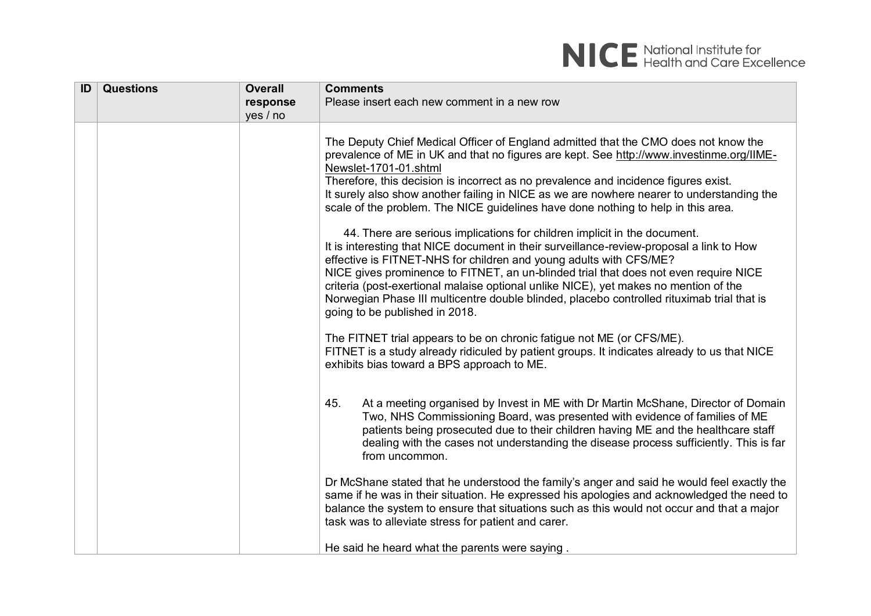| ID | <b>Questions</b> | <b>Overall</b> | <b>Comments</b>                                                                                                                                                                                                                                                                                                                                                                                                                                                                                                                                                                                                                                                                                                                                                                                                                                                                                                                                                                                                                                                                                                                                                                                                                                                        |
|----|------------------|----------------|------------------------------------------------------------------------------------------------------------------------------------------------------------------------------------------------------------------------------------------------------------------------------------------------------------------------------------------------------------------------------------------------------------------------------------------------------------------------------------------------------------------------------------------------------------------------------------------------------------------------------------------------------------------------------------------------------------------------------------------------------------------------------------------------------------------------------------------------------------------------------------------------------------------------------------------------------------------------------------------------------------------------------------------------------------------------------------------------------------------------------------------------------------------------------------------------------------------------------------------------------------------------|
|    |                  | response       | Please insert each new comment in a new row                                                                                                                                                                                                                                                                                                                                                                                                                                                                                                                                                                                                                                                                                                                                                                                                                                                                                                                                                                                                                                                                                                                                                                                                                            |
|    |                  | yes / no       |                                                                                                                                                                                                                                                                                                                                                                                                                                                                                                                                                                                                                                                                                                                                                                                                                                                                                                                                                                                                                                                                                                                                                                                                                                                                        |
|    |                  |                | The Deputy Chief Medical Officer of England admitted that the CMO does not know the<br>prevalence of ME in UK and that no figures are kept. See http://www.investinme.org/IIME-<br>Newslet-1701-01.shtml<br>Therefore, this decision is incorrect as no prevalence and incidence figures exist.<br>It surely also show another failing in NICE as we are nowhere nearer to understanding the<br>scale of the problem. The NICE guidelines have done nothing to help in this area.<br>44. There are serious implications for children implicit in the document.<br>It is interesting that NICE document in their surveillance-review-proposal a link to How<br>effective is FITNET-NHS for children and young adults with CFS/ME?<br>NICE gives prominence to FITNET, an un-blinded trial that does not even require NICE<br>criteria (post-exertional malaise optional unlike NICE), yet makes no mention of the<br>Norwegian Phase III multicentre double blinded, placebo controlled rituximab trial that is<br>going to be published in 2018.<br>The FITNET trial appears to be on chronic fatigue not ME (or CFS/ME).<br>FITNET is a study already ridiculed by patient groups. It indicates already to us that NICE<br>exhibits bias toward a BPS approach to ME. |
|    |                  |                | 45.<br>At a meeting organised by Invest in ME with Dr Martin McShane, Director of Domain<br>Two, NHS Commissioning Board, was presented with evidence of families of ME<br>patients being prosecuted due to their children having ME and the healthcare staff<br>dealing with the cases not understanding the disease process sufficiently. This is far<br>from uncommon.<br>Dr McShane stated that he understood the family's anger and said he would feel exactly the<br>same if he was in their situation. He expressed his apologies and acknowledged the need to<br>balance the system to ensure that situations such as this would not occur and that a major<br>task was to alleviate stress for patient and carer.<br>He said he heard what the parents were saying.                                                                                                                                                                                                                                                                                                                                                                                                                                                                                           |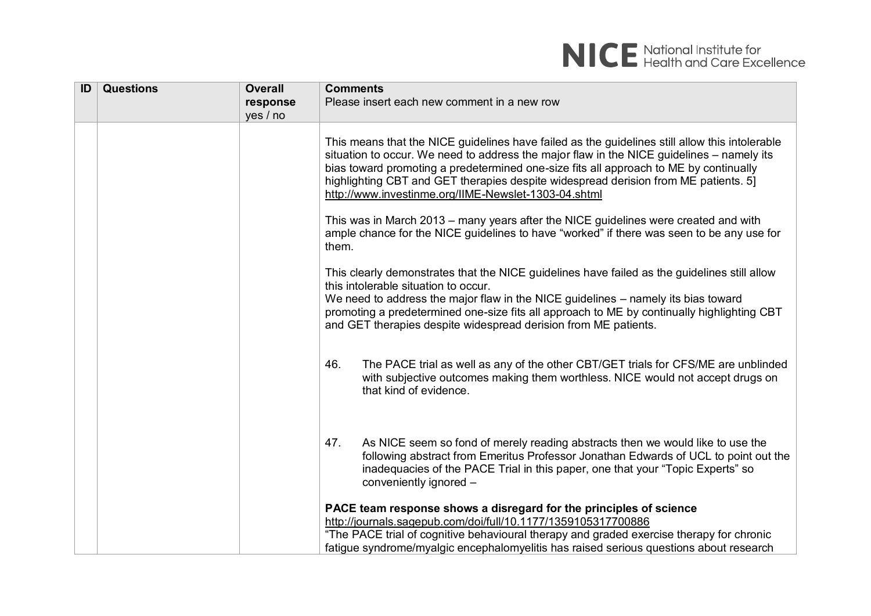| ID | <b>Questions</b> | <b>Overall</b> | <b>Comments</b>                                                                                                                                                                                                                                                                                                                                                                                                                     |
|----|------------------|----------------|-------------------------------------------------------------------------------------------------------------------------------------------------------------------------------------------------------------------------------------------------------------------------------------------------------------------------------------------------------------------------------------------------------------------------------------|
|    |                  | response       | Please insert each new comment in a new row                                                                                                                                                                                                                                                                                                                                                                                         |
|    |                  | yes / no       |                                                                                                                                                                                                                                                                                                                                                                                                                                     |
|    |                  |                | This means that the NICE guidelines have failed as the guidelines still allow this intolerable<br>situation to occur. We need to address the major flaw in the NICE guidelines – namely its<br>bias toward promoting a predetermined one-size fits all approach to ME by continually<br>highlighting CBT and GET therapies despite widespread derision from ME patients. 5]<br>http://www.investinme.org/IIME-Newslet-1303-04.shtml |
|    |                  |                | This was in March 2013 - many years after the NICE guidelines were created and with<br>ample chance for the NICE guidelines to have "worked" if there was seen to be any use for<br>them.                                                                                                                                                                                                                                           |
|    |                  |                | This clearly demonstrates that the NICE guidelines have failed as the guidelines still allow<br>this intolerable situation to occur.<br>We need to address the major flaw in the NICE guidelines - namely its bias toward<br>promoting a predetermined one-size fits all approach to ME by continually highlighting CBT<br>and GET therapies despite widespread derision from ME patients.                                          |
|    |                  |                | The PACE trial as well as any of the other CBT/GET trials for CFS/ME are unblinded<br>46.<br>with subjective outcomes making them worthless. NICE would not accept drugs on<br>that kind of evidence.                                                                                                                                                                                                                               |
|    |                  |                | As NICE seem so fond of merely reading abstracts then we would like to use the<br>47.<br>following abstract from Emeritus Professor Jonathan Edwards of UCL to point out the<br>inadequacies of the PACE Trial in this paper, one that your "Topic Experts" so<br>conveniently ignored -                                                                                                                                            |
|    |                  |                | PACE team response shows a disregard for the principles of science<br>http://journals.sagepub.com/doi/full/10.1177/1359105317700886<br>"The PACE trial of cognitive behavioural therapy and graded exercise therapy for chronic<br>fatique syndrome/myalgic encephalomyelitis has raised serious questions about research                                                                                                           |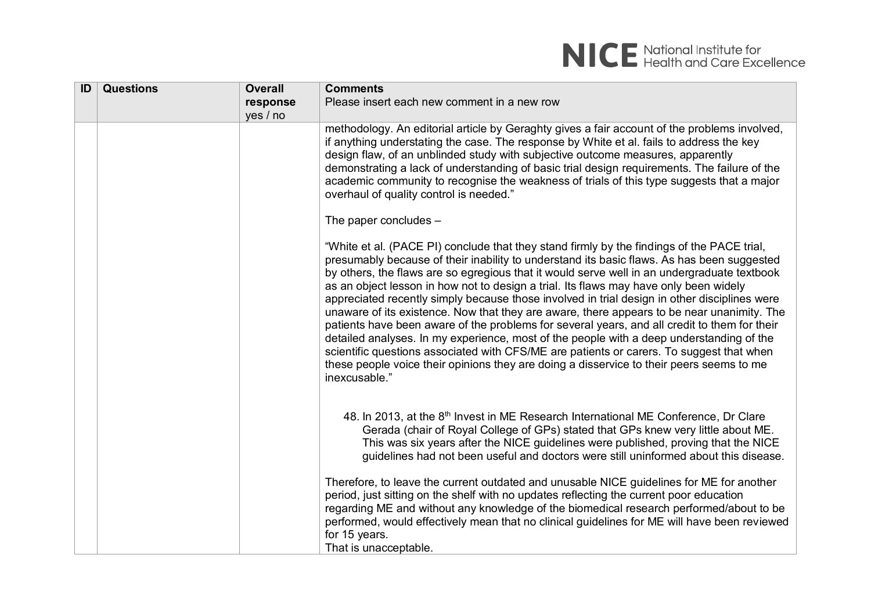

| ID | <b>Questions</b> | <b>Overall</b> | <b>Comments</b>                                                                                                                                                                                                                                                                                                                                                                                                                                                                                                                                                                                                                                                                                                                                                                                                                                                                                                                                                                     |
|----|------------------|----------------|-------------------------------------------------------------------------------------------------------------------------------------------------------------------------------------------------------------------------------------------------------------------------------------------------------------------------------------------------------------------------------------------------------------------------------------------------------------------------------------------------------------------------------------------------------------------------------------------------------------------------------------------------------------------------------------------------------------------------------------------------------------------------------------------------------------------------------------------------------------------------------------------------------------------------------------------------------------------------------------|
|    |                  | response       | Please insert each new comment in a new row                                                                                                                                                                                                                                                                                                                                                                                                                                                                                                                                                                                                                                                                                                                                                                                                                                                                                                                                         |
|    |                  | yes / no       |                                                                                                                                                                                                                                                                                                                                                                                                                                                                                                                                                                                                                                                                                                                                                                                                                                                                                                                                                                                     |
|    |                  |                | methodology. An editorial article by Geraghty gives a fair account of the problems involved,<br>if anything understating the case. The response by White et al. fails to address the key<br>design flaw, of an unblinded study with subjective outcome measures, apparently<br>demonstrating a lack of understanding of basic trial design requirements. The failure of the<br>academic community to recognise the weakness of trials of this type suggests that a major<br>overhaul of quality control is needed."                                                                                                                                                                                                                                                                                                                                                                                                                                                                 |
|    |                  |                | The paper concludes $-$                                                                                                                                                                                                                                                                                                                                                                                                                                                                                                                                                                                                                                                                                                                                                                                                                                                                                                                                                             |
|    |                  |                | "White et al. (PACE PI) conclude that they stand firmly by the findings of the PACE trial,<br>presumably because of their inability to understand its basic flaws. As has been suggested<br>by others, the flaws are so egregious that it would serve well in an undergraduate textbook<br>as an object lesson in how not to design a trial. Its flaws may have only been widely<br>appreciated recently simply because those involved in trial design in other disciplines were<br>unaware of its existence. Now that they are aware, there appears to be near unanimity. The<br>patients have been aware of the problems for several years, and all credit to them for their<br>detailed analyses. In my experience, most of the people with a deep understanding of the<br>scientific questions associated with CFS/ME are patients or carers. To suggest that when<br>these people voice their opinions they are doing a disservice to their peers seems to me<br>inexcusable." |
|    |                  |                | 48. In 2013, at the $8th$ Invest in ME Research International ME Conference, Dr Clare<br>Gerada (chair of Royal College of GPs) stated that GPs knew very little about ME.<br>This was six years after the NICE guidelines were published, proving that the NICE<br>guidelines had not been useful and doctors were still uninformed about this disease.                                                                                                                                                                                                                                                                                                                                                                                                                                                                                                                                                                                                                            |
|    |                  |                | Therefore, to leave the current outdated and unusable NICE guidelines for ME for another<br>period, just sitting on the shelf with no updates reflecting the current poor education<br>regarding ME and without any knowledge of the biomedical research performed/about to be<br>performed, would effectively mean that no clinical guidelines for ME will have been reviewed<br>for 15 years.<br>That is unacceptable                                                                                                                                                                                                                                                                                                                                                                                                                                                                                                                                                             |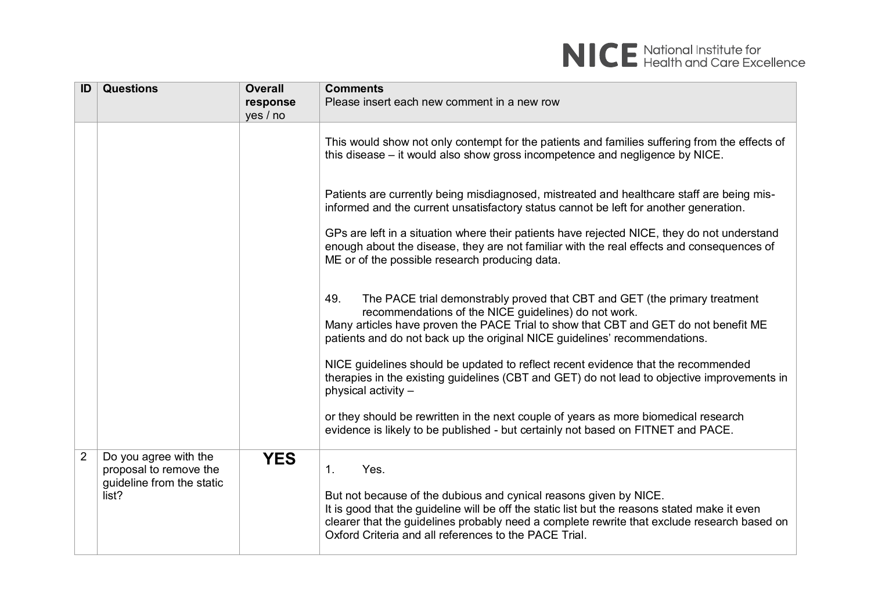| ID             | <b>Questions</b>                                                                      | <b>Overall</b><br>response | <b>Comments</b><br>Please insert each new comment in a new row                                                                                                                                                                                                                                                                                       |
|----------------|---------------------------------------------------------------------------------------|----------------------------|------------------------------------------------------------------------------------------------------------------------------------------------------------------------------------------------------------------------------------------------------------------------------------------------------------------------------------------------------|
|                |                                                                                       | yes / no                   | This would show not only contempt for the patients and families suffering from the effects of<br>this disease – it would also show gross incompetence and negligence by NICE.                                                                                                                                                                        |
|                |                                                                                       |                            | Patients are currently being misdiagnosed, mistreated and healthcare staff are being mis-<br>informed and the current unsatisfactory status cannot be left for another generation.                                                                                                                                                                   |
|                |                                                                                       |                            | GPs are left in a situation where their patients have rejected NICE, they do not understand<br>enough about the disease, they are not familiar with the real effects and consequences of<br>ME or of the possible research producing data.                                                                                                           |
|                |                                                                                       |                            | The PACE trial demonstrably proved that CBT and GET (the primary treatment<br>49.<br>recommendations of the NICE guidelines) do not work.<br>Many articles have proven the PACE Trial to show that CBT and GET do not benefit ME<br>patients and do not back up the original NICE guidelines' recommendations.                                       |
|                |                                                                                       |                            | NICE guidelines should be updated to reflect recent evidence that the recommended<br>therapies in the existing guidelines (CBT and GET) do not lead to objective improvements in<br>physical activity -                                                                                                                                              |
|                |                                                                                       |                            | or they should be rewritten in the next couple of years as more biomedical research<br>evidence is likely to be published - but certainly not based on FITNET and PACE.                                                                                                                                                                              |
| $\overline{2}$ | Do you agree with the<br>proposal to remove the<br>guideline from the static<br>list? | <b>YES</b>                 | 1 <sub>1</sub><br>Yes.<br>But not because of the dubious and cynical reasons given by NICE.<br>It is good that the guideline will be off the static list but the reasons stated make it even<br>clearer that the guidelines probably need a complete rewrite that exclude research based on<br>Oxford Criteria and all references to the PACE Trial. |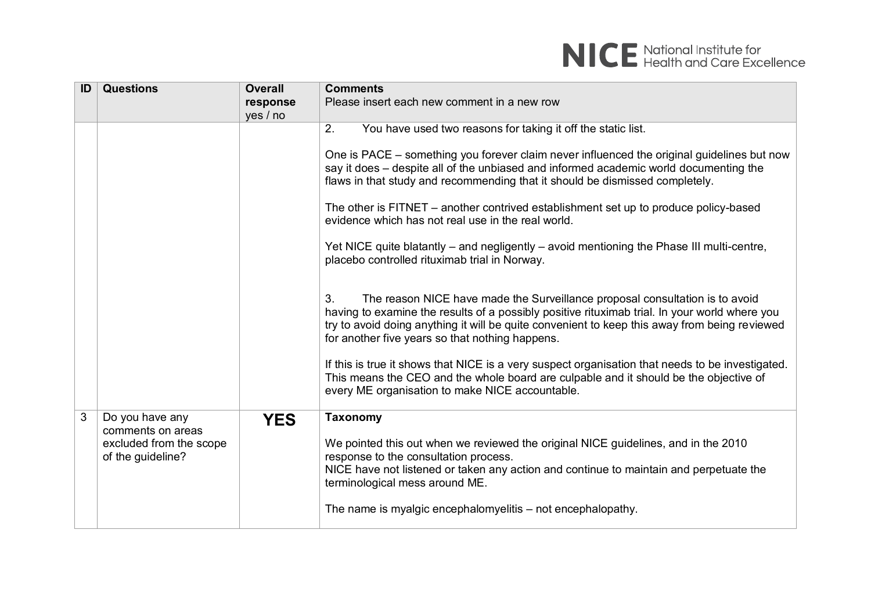

| ID | <b>Questions</b>                                                  | <b>Overall</b> | <b>Comments</b>                                                                                                                                                                                                                                                                                                                         |
|----|-------------------------------------------------------------------|----------------|-----------------------------------------------------------------------------------------------------------------------------------------------------------------------------------------------------------------------------------------------------------------------------------------------------------------------------------------|
|    |                                                                   | response       | Please insert each new comment in a new row                                                                                                                                                                                                                                                                                             |
|    |                                                                   | yes / no       |                                                                                                                                                                                                                                                                                                                                         |
|    |                                                                   |                | 2.<br>You have used two reasons for taking it off the static list.                                                                                                                                                                                                                                                                      |
|    |                                                                   |                | One is PACE – something you forever claim never influenced the original guidelines but now<br>say it does - despite all of the unbiased and informed academic world documenting the<br>flaws in that study and recommending that it should be dismissed completely.                                                                     |
|    |                                                                   |                | The other is FITNET – another contrived establishment set up to produce policy-based<br>evidence which has not real use in the real world.                                                                                                                                                                                              |
|    |                                                                   |                | Yet NICE quite blatantly – and negligently – avoid mentioning the Phase III multi-centre,<br>placebo controlled rituximab trial in Norway.                                                                                                                                                                                              |
|    |                                                                   |                | The reason NICE have made the Surveillance proposal consultation is to avoid<br>3.<br>having to examine the results of a possibly positive rituximab trial. In your world where you<br>try to avoid doing anything it will be quite convenient to keep this away from being reviewed<br>for another five years so that nothing happens. |
|    |                                                                   |                | If this is true it shows that NICE is a very suspect organisation that needs to be investigated.<br>This means the CEO and the whole board are culpable and it should be the objective of<br>every ME organisation to make NICE accountable.                                                                                            |
| 3  | Do you have any                                                   | <b>YES</b>     | <b>Taxonomy</b>                                                                                                                                                                                                                                                                                                                         |
|    | comments on areas<br>excluded from the scope<br>of the guideline? |                | We pointed this out when we reviewed the original NICE guidelines, and in the 2010<br>response to the consultation process.<br>NICE have not listened or taken any action and continue to maintain and perpetuate the<br>terminological mess around ME.                                                                                 |
|    |                                                                   |                | The name is myalgic encephalomyelitis – not encephalopathy.                                                                                                                                                                                                                                                                             |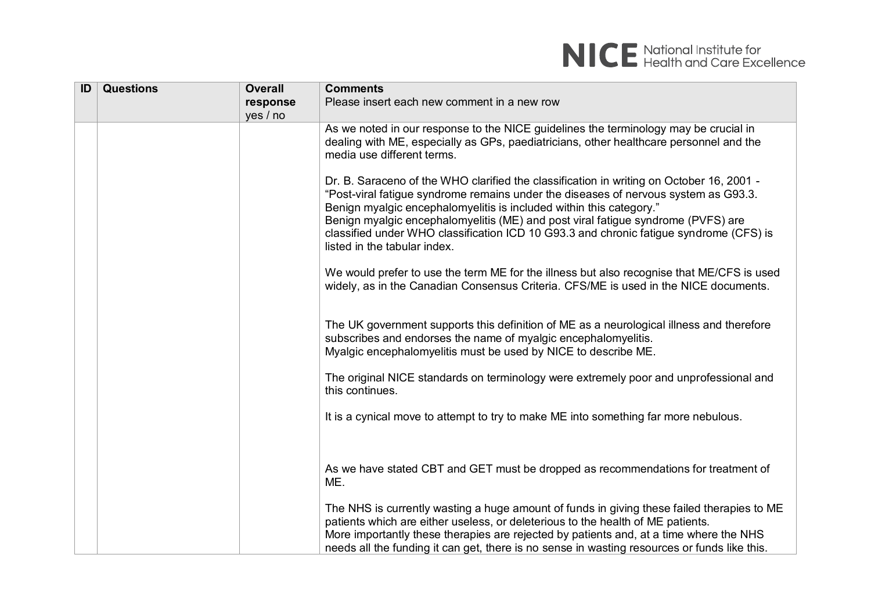

| ID | <b>Questions</b> | <b>Overall</b> | <b>Comments</b>                                                                                                                                                                                                                                                                                                                                                                                                                                                      |
|----|------------------|----------------|----------------------------------------------------------------------------------------------------------------------------------------------------------------------------------------------------------------------------------------------------------------------------------------------------------------------------------------------------------------------------------------------------------------------------------------------------------------------|
|    |                  | response       | Please insert each new comment in a new row                                                                                                                                                                                                                                                                                                                                                                                                                          |
|    |                  | yes / no       |                                                                                                                                                                                                                                                                                                                                                                                                                                                                      |
|    |                  |                | As we noted in our response to the NICE guidelines the terminology may be crucial in<br>dealing with ME, especially as GPs, paediatricians, other healthcare personnel and the<br>media use different terms.                                                                                                                                                                                                                                                         |
|    |                  |                | Dr. B. Saraceno of the WHO clarified the classification in writing on October 16, 2001 -<br>"Post-viral fatigue syndrome remains under the diseases of nervous system as G93.3.<br>Benign myalgic encephalomyelitis is included within this category."<br>Benign myalgic encephalomyelitis (ME) and post viral fatigue syndrome (PVFS) are<br>classified under WHO classification ICD 10 G93.3 and chronic fatigue syndrome (CFS) is<br>listed in the tabular index. |
|    |                  |                | We would prefer to use the term ME for the illness but also recognise that ME/CFS is used<br>widely, as in the Canadian Consensus Criteria. CFS/ME is used in the NICE documents.                                                                                                                                                                                                                                                                                    |
|    |                  |                | The UK government supports this definition of ME as a neurological illness and therefore<br>subscribes and endorses the name of myalgic encephalomyelitis.<br>Myalgic encephalomyelitis must be used by NICE to describe ME.                                                                                                                                                                                                                                         |
|    |                  |                | The original NICE standards on terminology were extremely poor and unprofessional and<br>this continues.                                                                                                                                                                                                                                                                                                                                                             |
|    |                  |                | It is a cynical move to attempt to try to make ME into something far more nebulous.                                                                                                                                                                                                                                                                                                                                                                                  |
|    |                  |                | As we have stated CBT and GET must be dropped as recommendations for treatment of<br>ME.                                                                                                                                                                                                                                                                                                                                                                             |
|    |                  |                | The NHS is currently wasting a huge amount of funds in giving these failed therapies to ME<br>patients which are either useless, or deleterious to the health of ME patients.<br>More importantly these therapies are rejected by patients and, at a time where the NHS<br>needs all the funding it can get, there is no sense in wasting resources or funds like this.                                                                                              |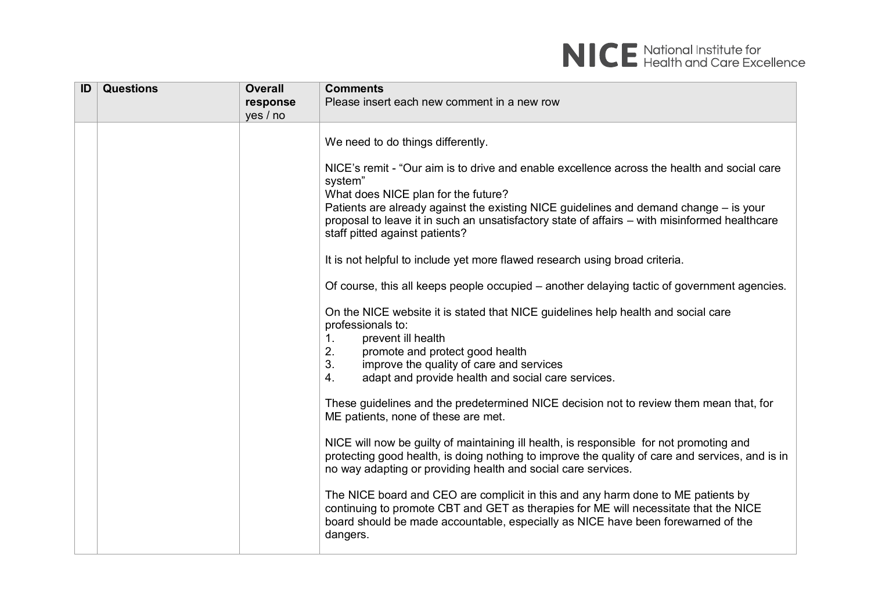

| ID | <b>Questions</b> | <b>Overall</b> | <b>Comments</b>                                                                                                                                                                                                                                                          |
|----|------------------|----------------|--------------------------------------------------------------------------------------------------------------------------------------------------------------------------------------------------------------------------------------------------------------------------|
|    |                  | response       | Please insert each new comment in a new row                                                                                                                                                                                                                              |
|    |                  | yes / no       |                                                                                                                                                                                                                                                                          |
|    |                  |                | We need to do things differently.<br>NICE's remit - "Our aim is to drive and enable excellence across the health and social care<br>system"<br>What does NICE plan for the future?                                                                                       |
|    |                  |                | Patients are already against the existing NICE guidelines and demand change – is your<br>proposal to leave it in such an unsatisfactory state of affairs - with misinformed healthcare<br>staff pitted against patients?                                                 |
|    |                  |                | It is not helpful to include yet more flawed research using broad criteria.                                                                                                                                                                                              |
|    |                  |                | Of course, this all keeps people occupied – another delaying tactic of government agencies.                                                                                                                                                                              |
|    |                  |                | On the NICE website it is stated that NICE guidelines help health and social care<br>professionals to:<br>1.<br>prevent ill health                                                                                                                                       |
|    |                  |                | 2.<br>promote and protect good health                                                                                                                                                                                                                                    |
|    |                  |                | 3.<br>improve the quality of care and services                                                                                                                                                                                                                           |
|    |                  |                | adapt and provide health and social care services.<br>4.                                                                                                                                                                                                                 |
|    |                  |                | These guidelines and the predetermined NICE decision not to review them mean that, for<br>ME patients, none of these are met.                                                                                                                                            |
|    |                  |                | NICE will now be guilty of maintaining ill health, is responsible for not promoting and<br>protecting good health, is doing nothing to improve the quality of care and services, and is in<br>no way adapting or providing health and social care services.              |
|    |                  |                | The NICE board and CEO are complicit in this and any harm done to ME patients by<br>continuing to promote CBT and GET as therapies for ME will necessitate that the NICE<br>board should be made accountable, especially as NICE have been forewarned of the<br>dangers. |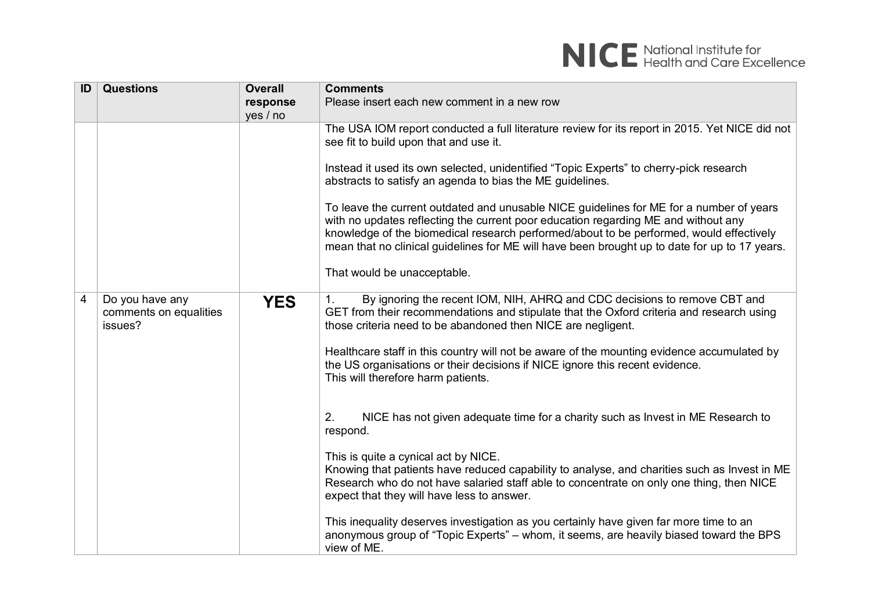

| ID | <b>Questions</b>                                     | <b>Overall</b> | <b>Comments</b>                                                                                                                                                                                                                                                                                                                                                           |
|----|------------------------------------------------------|----------------|---------------------------------------------------------------------------------------------------------------------------------------------------------------------------------------------------------------------------------------------------------------------------------------------------------------------------------------------------------------------------|
|    |                                                      | response       | Please insert each new comment in a new row                                                                                                                                                                                                                                                                                                                               |
|    |                                                      | yes / no       |                                                                                                                                                                                                                                                                                                                                                                           |
|    |                                                      |                | The USA IOM report conducted a full literature review for its report in 2015. Yet NICE did not<br>see fit to build upon that and use it.                                                                                                                                                                                                                                  |
|    |                                                      |                | Instead it used its own selected, unidentified "Topic Experts" to cherry-pick research<br>abstracts to satisfy an agenda to bias the ME guidelines.                                                                                                                                                                                                                       |
|    |                                                      |                | To leave the current outdated and unusable NICE guidelines for ME for a number of years<br>with no updates reflecting the current poor education regarding ME and without any<br>knowledge of the biomedical research performed/about to be performed, would effectively<br>mean that no clinical guidelines for ME will have been brought up to date for up to 17 years. |
|    |                                                      |                | That would be unacceptable.                                                                                                                                                                                                                                                                                                                                               |
| 4  | Do you have any<br>comments on equalities<br>issues? | <b>YES</b>     | By ignoring the recent IOM, NIH, AHRQ and CDC decisions to remove CBT and<br>1.<br>GET from their recommendations and stipulate that the Oxford criteria and research using<br>those criteria need to be abandoned then NICE are negligent.                                                                                                                               |
|    |                                                      |                | Healthcare staff in this country will not be aware of the mounting evidence accumulated by<br>the US organisations or their decisions if NICE ignore this recent evidence.<br>This will therefore harm patients.                                                                                                                                                          |
|    |                                                      |                | 2.<br>NICE has not given adequate time for a charity such as Invest in ME Research to<br>respond.                                                                                                                                                                                                                                                                         |
|    |                                                      |                | This is quite a cynical act by NICE.<br>Knowing that patients have reduced capability to analyse, and charities such as Invest in ME<br>Research who do not have salaried staff able to concentrate on only one thing, then NICE<br>expect that they will have less to answer.                                                                                            |
|    |                                                      |                | This inequality deserves investigation as you certainly have given far more time to an<br>anonymous group of "Topic Experts" – whom, it seems, are heavily biased toward the BPS<br>view of ME.                                                                                                                                                                           |